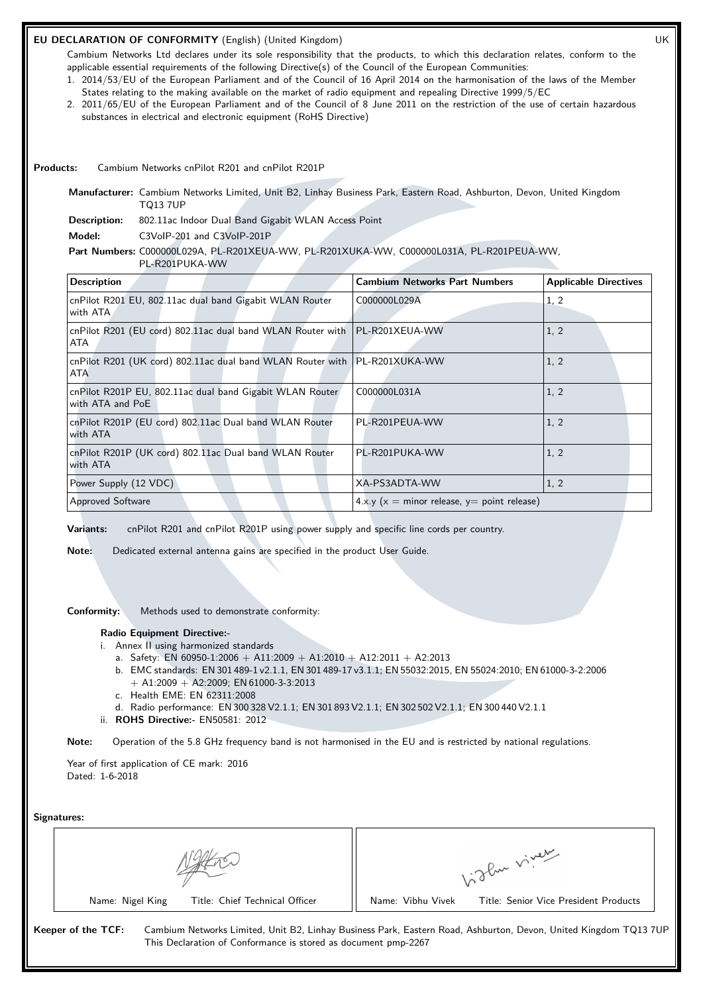# **EU DECLARATION OF CONFORMITY** (English) (United Kingdom) UK

Cambium Networks Ltd declares under its sole responsibility that the products, to which this declaration relates, conform to the applicable essential requirements of the following Directive(s) of the Council of the European Communities:

- 1. 2014/53/EU of the European Parliament and of the Council of 16 April 2014 on the harmonisation of the laws of the Member States relating to the making available on the market of radio equipment and repealing Directive 1999/5/EC
- 2. 2011/65/EU of the European Parliament and of the Council of 8 June 2011 on the restriction of the use of certain hazardous substances in electrical and electronic equipment (RoHS Directive)

**Products:** Cambium Networks cnPilot R201 and cnPilot R201P

**Manufacturer:** Cambium Networks Limited, Unit B2, Linhay Business Park, Eastern Road, Ashburton, Devon, United Kingdom TQ13 7UP

**Description:** 802.11ac Indoor Dual Band Gigabit WLAN Access Point

**Model:** C3VoIP-201 and C3VoIP-201P

# **Part Numbers:** C000000L029A, PL-R201XEUA-WW, PL-R201XUKA-WW, C000000L031A, PL-R201PEUA-WW,

PL-R201PUKA-WW

| <b>Description</b>                                                                        | <b>Cambium Networks Part Numbers</b>              | <b>Applicable Directives</b> |
|-------------------------------------------------------------------------------------------|---------------------------------------------------|------------------------------|
| cnPilot R201 EU, 802.11ac dual band Gigabit WLAN Router<br>with ATA                       | C000000L029A                                      | 1, 2                         |
| cnPilot R201 (EU cord) 802.11ac dual band WLAN Router with   PL-R201XEUA-WW<br>ATA        |                                                   | 1, 2                         |
| cnPilot R201 (UK cord) 802.11ac dual band WLAN Router with   PL-R201XUKA-WW<br><b>ATA</b> |                                                   | 1, 2                         |
| cnPilot R201P EU, 802.11ac dual band Gigabit WLAN Router<br>with ATA and PoE              | C000000L031A                                      | 1, 2                         |
| cnPilot R201P (EU cord) 802.11ac Dual band WLAN Router<br>with ATA                        | PL-R201PEUA-WW                                    | 1, 2                         |
| cnPilot R201P (UK cord) 802.11ac Dual band WLAN Router<br>with ATA                        | PL-R201PUKA-WW                                    | 1, 2                         |
| Power Supply (12 VDC)                                                                     | XA-PS3ADTA-WW                                     | 1, 2                         |
| Approved Software                                                                         | 4.x.y ( $x =$ minor release, $y =$ point release) |                              |

**Variants:** cnPilot R201 and cnPilot R201P using power supply and specific line cords per country.

**Note:** Dedicated external antenna gains are specified in the product User Guide.

**Conformity:** Methods used to demonstrate conformity:

#### **Radio Equipment Directive:-**

- i. Annex II using harmonized standards
	- a. Safety: EN 60950-1:2006 + A11:2009 + A1:2010 + A12:2011 + A2:2013
	- b. EMC standards: EN 301 489-1 v2.1.1, EN 301 489-17 v3.1.1; EN 55032:2015, EN 55024:2010; EN 61000-3-2:2006  $+$  A1:2009  $+$  A2:2009; EN 61000-3-3:2013
	- c. Health EME: EN 62311:2008
	- d. Radio performance: EN 300 328 V2.1.1; EN 301 893 V2.1.1; EN 302 502 V2.1.1; EN 300 440 V2.1.1
- ii. **ROHS Directive:-** EN50581: 2012

**Note:** Operation of the 5.8 GHz frequency band is not harmonised in the EU and is restricted by national regulations.

Year of first application of CE mark: 2016 Dated: 1-6-2018

**Signatures:**

|                                | ylu viveur                            |
|--------------------------------|---------------------------------------|
| Title: Chief Technical Officer | Name: Vibhu Vivek                     |
| Name: Nigel King               | Title: Senior Vice President Products |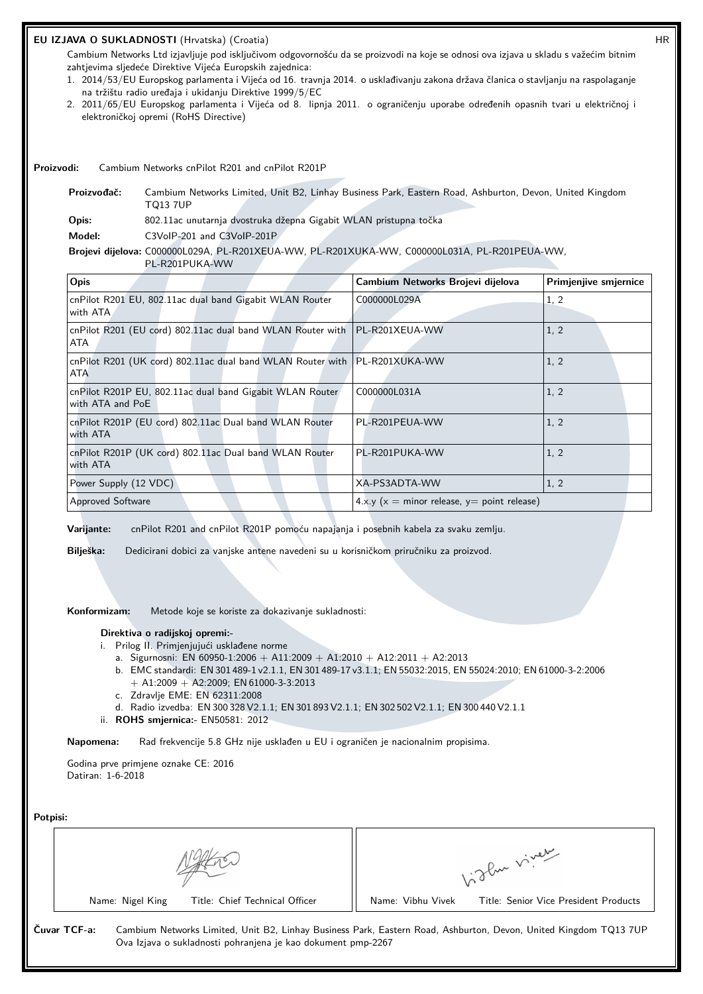# **EU IZJAVA O SUKLADNOSTI** (Hrvatska) (Croatia) HR

Cambium Networks Ltd izjavljuje pod isključivom odgovornošću da se proizvodi na koje se odnosi ova izjava u skladu s važećim bitnim zahtjevima sljedeće Direktive Vijeća Europskih zajednica:

- 1. 2014/53/EU Europskog parlamenta i Vijeća od 16. travnja 2014. o usklađivanju zakona država članica o stavljanju na raspolaganje na tržištu radio uređaja i ukidanju Direktive 1999/5/EC
- 2. 2011/65/EU Europskog parlamenta i Vijeća od 8. lipnja 2011. o ograničenju uporabe određenih opasnih tvari u električnoj i elektroničkoj opremi (RoHS Directive)

**Proizvodi:** Cambium Networks cnPilot R201 and cnPilot R201P

**Proizvođač:** Cambium Networks Limited, Unit B2, Linhay Business Park, Eastern Road, Ashburton, Devon, United Kingdom TQ13 7UP **Opis:** 802.11ac unutarnja dvostruka džepna Gigabit WLAN pristupna točka **Model:** C3VoIP-201 and C3VoIP-201P **Brojevi dijelova:** C000000L029A, PL-R201XEUA-WW, PL-R201XUKA-WW, C000000L031A, PL-R201PEUA-WW,

| PL-R201PUKA-WW                                                                            |                                               |                       |  |
|-------------------------------------------------------------------------------------------|-----------------------------------------------|-----------------------|--|
| Opis                                                                                      | Cambium Networks Brojevi dijelova             | Primjenjive smjernice |  |
| cnPilot R201 EU, 802.11ac dual band Gigabit WLAN Router<br>with ATA                       | C000000L029A                                  | 1, 2                  |  |
| cnPilot R201 (EU cord) 802.11ac dual band WLAN Router with   PL-R201XEUA-WW<br>ATA        |                                               | 1, 2                  |  |
| cnPilot R201 (UK cord) 802.11ac dual band WLAN Router with   PL-R201XUKA-WW<br><b>ATA</b> |                                               | 1, 2                  |  |
| cnPilot R201P EU, 802.11ac dual band Gigabit WLAN Router<br>with ATA and PoE              | C000000L031A                                  | 1, 2                  |  |
| cnPilot R201P (EU cord) 802.11ac Dual band WLAN Router<br>with ATA                        | PL-R201PEUA-WW                                | 1, 2                  |  |
| cnPilot R201P (UK cord) 802.11ac Dual band WLAN Router<br>with ATA                        | PL-R201PUKA-WW                                | 1, 2                  |  |
| Power Supply (12 VDC)                                                                     | XA-PS3ADTA-WW                                 | 1, 2                  |  |
| <b>Approved Software</b>                                                                  | $4.x.y(x = minor release, y = point release)$ |                       |  |

**Varijante:** cnPilot R201 and cnPilot R201P pomoću napajanja i posebnih kabela za svaku zemlju.

**Bilješka:** Dedicirani dobici za vanjske antene navedeni su u korisničkom priručniku za proizvod.

**Konformizam:** Metode koje se koriste za dokazivanje sukladnosti:

#### **Direktiva o radijskoj opremi:-**

- i. Prilog II. Primjenjujući usklađene norme
	- a. Sigurnosni: EN 60950-1:2006 + A11:2009 + A1:2010 + A12:2011 + A2:2013
	- b. EMC standardi: EN 301 489-1 v2.1.1, EN 301 489-17 v3.1.1; EN 55032:2015, EN 55024:2010; EN 61000-3-2:2006  $+$  A1:2009  $+$  A2:2009; EN 61000-3-3:2013
	- c. Zdravlje EME: EN 62311:2008
	- d. Radio izvedba: EN 300 328 V2.1.1; EN 301 893 V2.1.1; EN 302 502 V2.1.1; EN 300 440 V2.1.1
- ii. **ROHS smjernica:-** EN50581: 2012

**Napomena:** Rad frekvencije 5.8 GHz nije usklađen u EU i ograničen je nacionalnim propisima.

Godina prve primjene oznake CE: 2016 Datiran: 1-6-2018

**Potpisi:**

| POLDISI: |              |                  |                                                              |                   |                                                                                                                  |
|----------|--------------|------------------|--------------------------------------------------------------|-------------------|------------------------------------------------------------------------------------------------------------------|
|          |              |                  |                                                              | 1. The viver      |                                                                                                                  |
|          |              | Name: Nigel King | Title: Chief Technical Officer                               | Name: Vibhu Vivek | Title: Senior Vice President Products                                                                            |
|          | Čuvar TCF-a: |                  | Ova Izjava o sukladnosti pohranjena je kao dokument pmp-2267 |                   | Cambium Networks Limited, Unit B2, Linhay Business Park, Eastern Road, Ashburton, Devon, United Kingdom TQ13 7UP |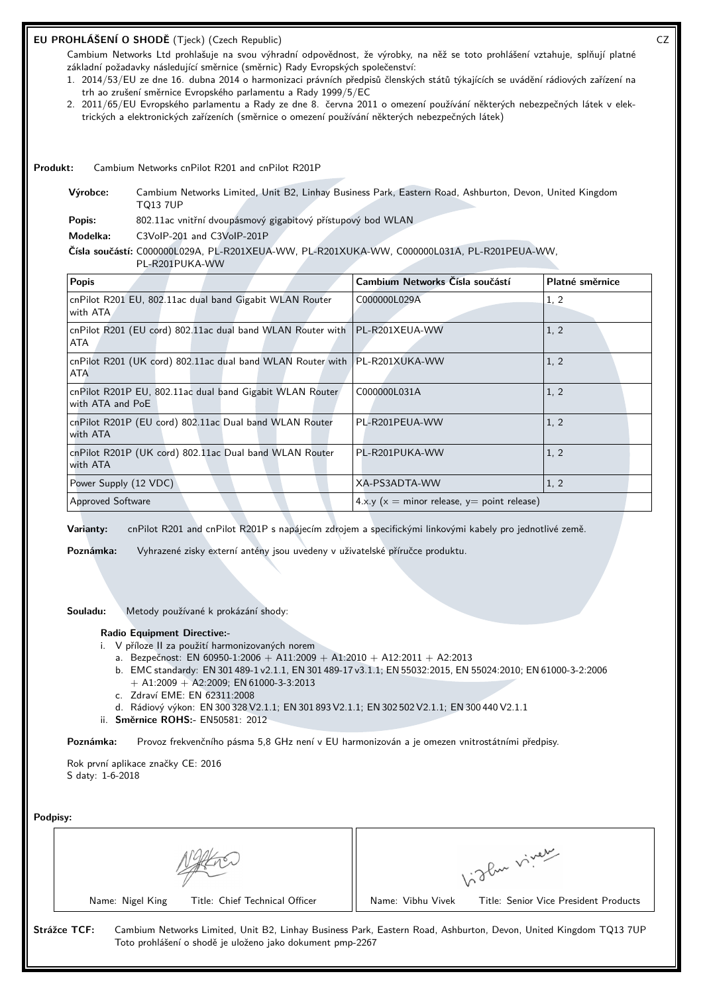# **EU PROHLÁŠENÍ O SHODĚ** (Tjeck) (Czech Republic) CZ

Cambium Networks Ltd prohlašuje na svou výhradní odpovědnost, že výrobky, na něž se toto prohlášení vztahuje, splňují platné základní požadavky následující směrnice (směrnic) Rady Evropských společenství:

- 1. 2014/53/EU ze dne 16. dubna 2014 o harmonizaci právních předpisů členských států týkajících se uvádění rádiových zařízení na trh ao zrušení směrnice Evropského parlamentu a Rady 1999/5/EC
- 2. 2011/65/EU Evropského parlamentu a Rady ze dne 8. června 2011 o omezení používání některých nebezpečných látek v elektrických a elektronických zařízeních (směrnice o omezení používání některých nebezpečných látek)

**Produkt:** Cambium Networks cnPilot R201 and cnPilot R201P

**Výrobce:** Cambium Networks Limited, Unit B2, Linhay Business Park, Eastern Road, Ashburton, Devon, United Kingdom TQ13 7UP

Popis: 802.11ac vnitřní dvoupásmový gigabitový přístupový bod WLAN

**Modelka:** C3VoIP-201 and C3VoIP-201P

#### **Čísla součástí:** C000000L029A, PL-R201XEUA-WW, PL-R201XUKA-WW, C000000L031A, PL-R201PEUA-WW,

PL-R201PUKA-WW

| <b>Popis</b>                                                                              | Cambium Networks Čísla součástí               | Platné směrnice |
|-------------------------------------------------------------------------------------------|-----------------------------------------------|-----------------|
| cnPilot R201 EU, 802.11ac dual band Gigabit WLAN Router<br>with ATA                       | C000000L029A                                  | 1, 2            |
| cnPilot R201 (EU cord) 802.11ac dual band WLAN Router with   PL-R201XEUA-WW<br>ATA        |                                               | 1, 2            |
| cnPilot R201 (UK cord) 802.11ac dual band WLAN Router with   PL-R201XUKA-WW<br><b>ATA</b> |                                               | 1, 2            |
| cnPilot R201P EU, 802.11ac dual band Gigabit WLAN Router<br>with ATA and PoE              | C000000L031A                                  | 1, 2            |
| cnPilot R201P (EU cord) 802.11ac Dual band WLAN Router<br>with ATA                        | PL-R201PEUA-WW                                | 1, 2            |
| cnPilot R201P (UK cord) 802.11ac Dual band WLAN Router<br>with ATA                        | PL-R201PUKA-WW                                | 1, 2            |
| Power Supply (12 VDC)                                                                     | XA-PS3ADTA-WW                                 | 1, 2            |
| <b>Approved Software</b>                                                                  | $4.x.y(x = minor release, y = point release)$ |                 |

**Varianty:** cnPilot R201 and cnPilot R201P s napájecím zdrojem a specifickými linkovými kabely pro jednotlivé země.

**Poznámka:** Vyhrazené zisky externí antény jsou uvedeny v uživatelské příručce produktu.

**Souladu:** Metody používané k prokázání shody:

#### **Radio Equipment Directive:-**

- i. V příloze II za použití harmonizovaných norem
	- a. Bezpečnost: EN 60950-1:2006 + A11:2009 + A1:2010 + A12:2011 + A2:2013
	- b. EMC standardy: EN 301 489-1 v2.1.1, EN 301 489-17 v3.1.1; EN 55032:2015, EN 55024:2010; EN 61000-3-2:2006  $+$  A1:2009  $+$  A2:2009; EN 61000-3-3:2013
	- c. Zdraví EME: EN 62311:2008
	- d. Rádiový výkon: EN 300 328 V2.1.1; EN 301 893 V2.1.1; EN 302 502 V2.1.1; EN 300 440 V2.1.1
- ii. **Směrnice ROHS:-** EN50581: 2012

**Poznámka:** Provoz frekvenčního pásma 5,8 GHz není v EU harmonizován a je omezen vnitrostátními předpisy.

Rok první aplikace značky CE: 2016 S daty: 1-6-2018

**Podpisy:**

| Podpisy:     |                                                                                                                                                                               |                   |                                       |
|--------------|-------------------------------------------------------------------------------------------------------------------------------------------------------------------------------|-------------------|---------------------------------------|
|              |                                                                                                                                                                               | of the viver      |                                       |
|              | Title: Chief Technical Officer<br>Name: Nigel King                                                                                                                            | Name: Vibhu Vivek | Title: Senior Vice President Products |
| Strážce TCF: | Cambium Networks Limited, Unit B2, Linhay Business Park, Eastern Road, Ashburton, Devon, United Kingdom TQ13 7UP<br>Toto prohlášení o shodě je uloženo jako dokument pmp-2267 |                   |                                       |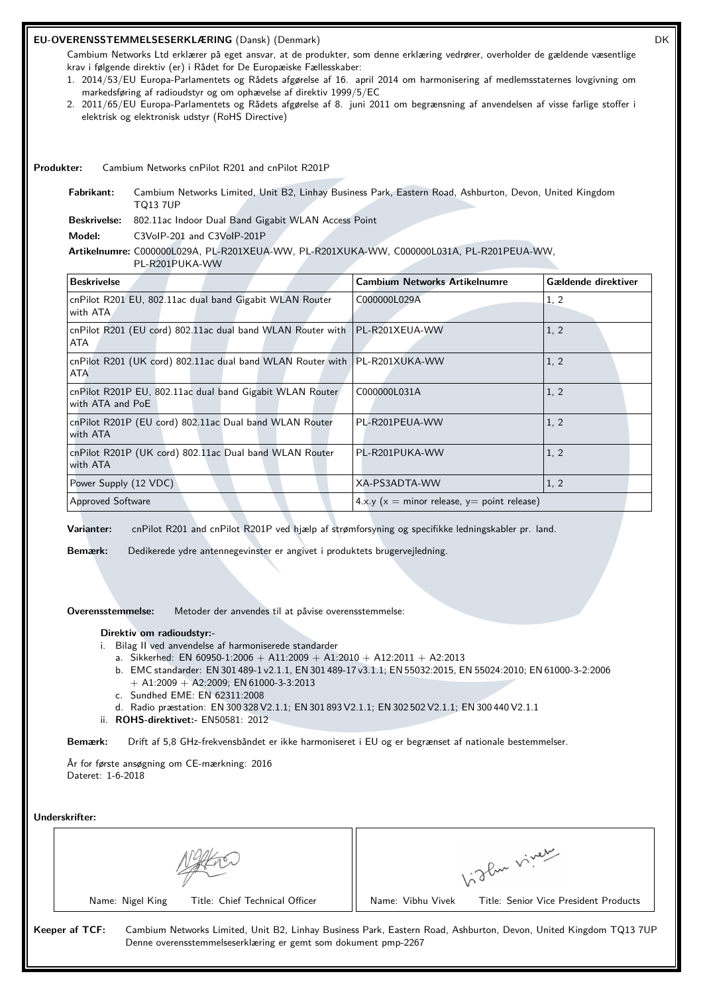# **EU-OVERENSSTEMMELSESERKLÆRING** (Dansk) (Denmark) DK

Cambium Networks Ltd erklærer på eget ansvar, at de produkter, som denne erklæring vedrører, overholder de gældende væsentlige krav i følgende direktiv (er) i Rådet for De Europæiske Fællesskaber:

- 1. 2014/53/EU Europa-Parlamentets og Rådets afgørelse af 16. april 2014 om harmonisering af medlemsstaternes lovgivning om markedsføring af radioudstyr og om ophævelse af direktiv 1999/5/EC
- 2. 2011/65/EU Europa-Parlamentets og Rådets afgørelse af 8. juni 2011 om begrænsning af anvendelsen af visse farlige stoffer i elektrisk og elektronisk udstyr (RoHS Directive)

**Produkter:** Cambium Networks cnPilot R201 and cnPilot R201P

**Fabrikant:** Cambium Networks Limited, Unit B2, Linhay Business Park, Eastern Road, Ashburton, Devon, United Kingdom TQ13 7UP

**Beskrivelse:** 802.11ac Indoor Dual Band Gigabit WLAN Access Point

**Model:** C3VoIP-201 and C3VoIP-201P

#### **Artikelnumre:** C000000L029A, PL-R201XEUA-WW, PL-R201XUKA-WW, C000000L031A, PL-R201PEUA-WW,

PL-R201PUKA-WW

| <b>Beskrivelse</b>                                                                        | <b>Cambium Networks Artikelnumre</b>          | Gældende direktiver |
|-------------------------------------------------------------------------------------------|-----------------------------------------------|---------------------|
| cnPilot R201 EU, 802.11ac dual band Gigabit WLAN Router<br>with ATA                       | C000000L029A                                  | 1, 2                |
| cnPilot R201 (EU cord) 802.11ac dual band WLAN Router with   PL-R201XEUA-WW<br>ATA        |                                               | 1, 2                |
| cnPilot R201 (UK cord) 802.11ac dual band WLAN Router with   PL-R201XUKA-WW<br><b>ATA</b> |                                               | 1, 2                |
| cnPilot R201P EU, 802.11ac dual band Gigabit WLAN Router<br>with ATA and PoE              | C000000L031A                                  | 1, 2                |
| cnPilot R201P (EU cord) 802.11ac Dual band WLAN Router<br>with ATA                        | PL-R201PEUA-WW                                | 1, 2                |
| cnPilot R201P (UK cord) 802.11ac Dual band WLAN Router<br>with ATA                        | PL-R201PUKA-WW                                | 1.2                 |
| Power Supply (12 VDC)                                                                     | XA-PS3ADTA-WW                                 | 1, 2                |
| <b>Approved Software</b>                                                                  | $4.x.y(x = minor release, y = point release)$ |                     |

**Varianter:** cnPilot R201 and cnPilot R201P ved hjælp af strømforsyning og specifikke ledningskabler pr. land.

**Bemærk:** Dedikerede ydre antennegevinster er angivet i produktets brugervejledning.

**Overensstemmelse:** Metoder der anvendes til at påvise overensstemmelse:

#### **Direktiv om radioudstyr:-**

- i. Bilag II ved anvendelse af harmoniserede standarder
	- a. Sikkerhed: EN 60950-1:2006 + A11:2009 + A1:2010 + A12:2011 + A2:2013
	- b. EMC standarder: EN 301 489-1 v2.1.1, EN 301 489-17 v3.1.1; EN 55032:2015, EN 55024:2010; EN 61000-3-2:2006  $+$  A1:2009  $+$  A2:2009; EN 61000-3-3:2013
	- c. Sundhed EME: EN 62311:2008
	- d. Radio præstation: EN 300 328 V2.1.1; EN 301 893 V2.1.1; EN 302 502 V2.1.1; EN 300 440 V2.1.1
- ii. **ROHS-direktivet:-** EN50581: 2012

**Bemærk:** Drift af 5,8 GHz-frekvensbåndet er ikke harmoniseret i EU og er begrænset af nationale bestemmelser.

År for første ansøgning om CE-mærkning: 2016 Dateret: 1-6-2018

**Underskrifter:**

|                |                  |                                                                | ylu viver         |                                                                                                                  |
|----------------|------------------|----------------------------------------------------------------|-------------------|------------------------------------------------------------------------------------------------------------------|
|                | Name: Nigel King | Title: Chief Technical Officer                                 | Name: Vibhu Vivek | Title: Senior Vice President Products                                                                            |
| Keeper af TCF: |                  | Denne overensstemmelseserklæring er gemt som dokument pmp-2267 |                   | Cambium Networks Limited, Unit B2, Linhay Business Park, Eastern Road, Ashburton, Devon, United Kingdom TQ13 7UP |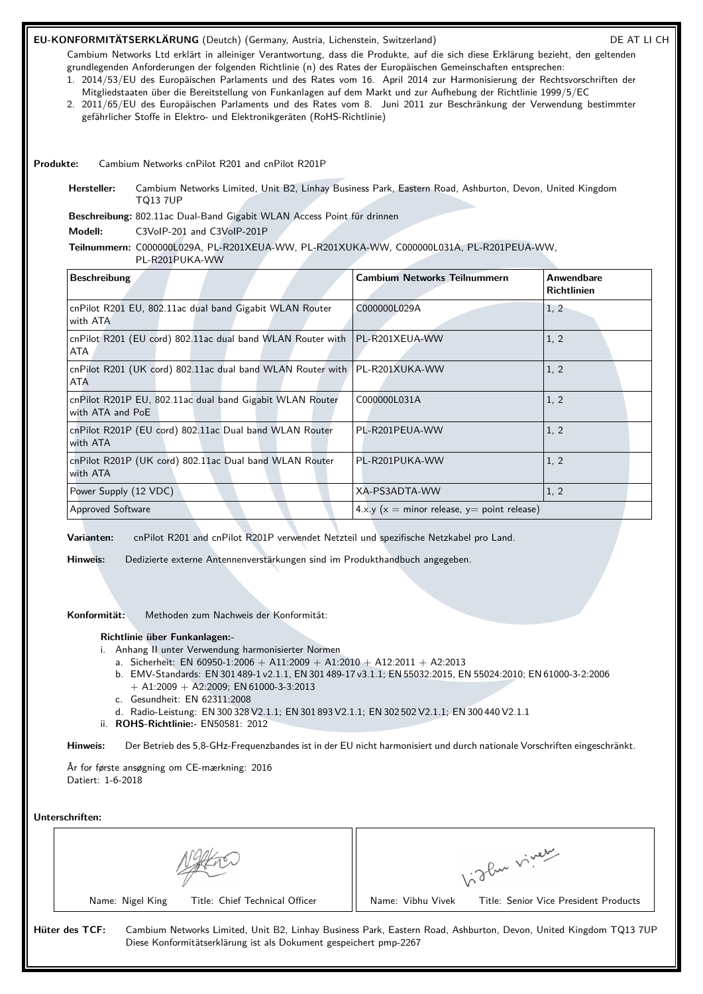# EU-KONFORMITÄTSERKLÄRUNG (Deutch) (Germany, Austria, Lichenstein, Switzerland) DE AT LI CH

Cambium Networks Ltd erklärt in alleiniger Verantwortung, dass die Produkte, auf die sich diese Erklärung bezieht, den geltenden grundlegenden Anforderungen der folgenden Richtlinie (n) des Rates der Europäischen Gemeinschaften entsprechen:

- 1. 2014/53/EU des Europäischen Parlaments und des Rates vom 16. April 2014 zur Harmonisierung der Rechtsvorschriften der Mitgliedstaaten über die Bereitstellung von Funkanlagen auf dem Markt und zur Aufhebung der Richtlinie 1999/5/EC
- 2. 2011/65/EU des Europäischen Parlaments und des Rates vom 8. Juni 2011 zur Beschränkung der Verwendung bestimmter gefährlicher Stoffe in Elektro- und Elektronikgeräten (RoHS-Richtlinie)

**Produkte:** Cambium Networks cnPilot R201 and cnPilot R201P

**Hersteller:** Cambium Networks Limited, Unit B2, Linhay Business Park, Eastern Road, Ashburton, Devon, United Kingdom TQ13 7UP

**Beschreibung:** 802.11ac Dual-Band Gigabit WLAN Access Point für drinnen

**Modell:** C3VoIP-201 and C3VoIP-201P

# **Teilnummern:** C000000L029A, PL-R201XEUA-WW, PL-R201XUKA-WW, C000000L031A, PL-R201PEUA-WW,

PL-R201PUKA-WW

| <b>Beschreibung</b>                                                                | <b>Cambium Networks Teilnummern</b>                      | Anwendbare<br><b>Richtlinien</b> |
|------------------------------------------------------------------------------------|----------------------------------------------------------|----------------------------------|
| cnPilot R201 EU, 802.11ac dual band Gigabit WLAN Router<br>with ATA                | C000000L029A                                             | 1, 2                             |
| cnPilot R201 (EU cord) 802.11ac dual band WLAN Router with   PL-R201XEUA-WW<br>ATA |                                                          | 1, 2                             |
| cnPilot R201 (UK cord) 802.11ac dual band WLAN Router with   PL-R201XUKA-WW<br>ATA |                                                          | 1, 2                             |
| cnPilot R201P EU, 802.11ac dual band Gigabit WLAN Router<br>with ATA and PoE       | C000000L031A                                             | 1, 2                             |
| cnPilot R201P (EU cord) 802.11ac Dual band WLAN Router<br>with ATA                 | PL-R201PEUA-WW                                           | 1, 2                             |
| cnPilot R201P (UK cord) 802.11ac Dual band WLAN Router<br>with ATA                 | PL-R201PUKA-WW                                           | 1, 2                             |
| Power Supply (12 VDC)                                                              | XA-PS3ADTA-WW                                            | 1, 2                             |
| <b>Approved Software</b>                                                           | $4 \times y$ ( $x =$ minor release, $y =$ point release) |                                  |

**Varianten:** cnPilot R201 and cnPilot R201P verwendet Netzteil und spezifische Netzkabel pro Land.

**Hinweis:** Dedizierte externe Antennenverstärkungen sind im Produkthandbuch angegeben.

**Konformität:** Methoden zum Nachweis der Konformität:

# **Richtlinie über Funkanlagen:-**

- i. Anhang II unter Verwendung harmonisierter Normen
	- a. Sicherheit: EN 60950-1:2006 + A11:2009 + A1:2010 + A12:2011 + A2:2013
	- b. EMV-Standards: EN 301 489-1 v2.1.1, EN 301 489-17 v3.1.1; EN 55032:2015, EN 55024:2010; EN 61000-3-2:2006  $+$  A1:2009 + A2:2009; EN 61000-3-3:2013
	- c. Gesundheit: EN 62311:2008
	- d. Radio-Leistung: EN 300 328 V2.1.1; EN 301 893 V2.1.1; EN 302 502 V2.1.1; EN 300 440 V2.1.1
- ii. **ROHS-Richtlinie:-** EN50581: 2012

**Hinweis:** Der Betrieb des 5,8-GHz-Frequenzbandes ist in der EU nicht harmonisiert und durch nationale Vorschriften eingeschränkt.

År for første ansøgning om CE-mærkning: 2016 Datiert: 1-6-2018

**Unterschriften:**

|                |                  |                                                                   | . Jlu viver       |                                                                                                                  |
|----------------|------------------|-------------------------------------------------------------------|-------------------|------------------------------------------------------------------------------------------------------------------|
|                | Name: Nigel King | Title: Chief Technical Officer                                    | Name: Vibhu Vivek | Title: Senior Vice President Products                                                                            |
| Hüter des TCF: |                  | Diese Konformitätserklärung ist als Dokument gespeichert pmp-2267 |                   | Cambium Networks Limited, Unit B2, Linhay Business Park, Eastern Road, Ashburton, Devon, United Kingdom TQ13 7UP |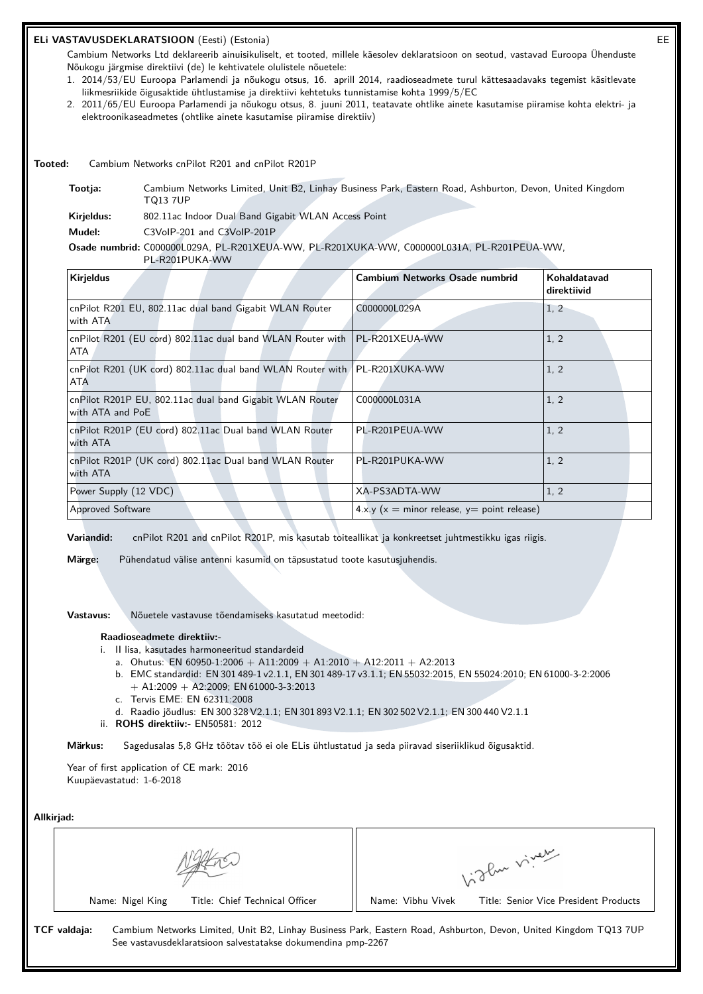# **ELi VASTAVUSDEKLARATSIOON** (Eesti) (Estonia) EE

Cambium Networks Ltd deklareerib ainuisikuliselt, et tooted, millele käesolev deklaratsioon on seotud, vastavad Euroopa Ühenduste Nõukogu järgmise direktiivi (de) le kehtivatele olulistele nõuetele:

- 1. 2014/53/EU Euroopa Parlamendi ja nõukogu otsus, 16. aprill 2014, raadioseadmete turul kättesaadavaks tegemist käsitlevate liikmesriikide õigusaktide ühtlustamise ja direktiivi kehtetuks tunnistamise kohta 1999/5/EC
- 2. 2011/65/EU Euroopa Parlamendi ja nõukogu otsus, 8. juuni 2011, teatavate ohtlike ainete kasutamise piiramise kohta elektri- ja elektroonikaseadmetes (ohtlike ainete kasutamise piiramise direktiiv)

**Tooted:** Cambium Networks cnPilot R201 and cnPilot R201P

**Tootja:** Cambium Networks Limited, Unit B2, Linhay Business Park, Eastern Road, Ashburton, Devon, United Kingdom TQ13 7UP

**Kirjeldus:** 802.11ac Indoor Dual Band Gigabit WLAN Access Point

**Mudel:** C3VoIP-201 and C3VoIP-201P

#### **Osade numbrid:** C000000L029A, PL-R201XEUA-WW, PL-R201XUKA-WW, C000000L031A, PL-R201PEUA-WW,

PL-R201PUKA-WW

| <b>Kirjeldus</b>                                                                   | <b>Cambium Networks Osade numbrid</b>               | Kohaldatavad<br>direktiivid |
|------------------------------------------------------------------------------------|-----------------------------------------------------|-----------------------------|
| cnPilot R201 EU, 802.11ac dual band Gigabit WLAN Router<br>with ATA                | C000000L029A                                        | 1, 2                        |
| cnPilot R201 (EU cord) 802.11ac dual band WLAN Router with   PL-R201XEUA-WW<br>ATA |                                                     | 1, 2                        |
| cnPilot R201 (UK cord) 802.11ac dual band WLAN Router with   PL-R201XUKA-WW<br>ATA |                                                     | 1, 2                        |
| cnPilot R201P EU, 802.11ac dual band Gigabit WLAN Router<br>with ATA and PoE       | C000000L031A                                        | 1, 2                        |
| cnPilot R201P (EU cord) 802.11ac Dual band WLAN Router<br>with ATA                 | PL-R201PEUA-WW                                      | 1, 2                        |
| cnPilot R201P (UK cord) 802.11ac Dual band WLAN Router<br>with ATA                 | PL-R201PUKA-WW                                      | 1, 2                        |
| Power Supply (12 VDC)                                                              | XA-PS3ADTA-WW                                       | 1, 2                        |
| <b>Approved Software</b>                                                           | $4 \times y$ (x = minor release, y = point release) |                             |

**Variandid:** cnPilot R201 and cnPilot R201P, mis kasutab toiteallikat ja konkreetset juhtmestikku igas riigis.

**Märge:** Pühendatud välise antenni kasumid on täpsustatud toote kasutusjuhendis.

# **Vastavus:** Nõuetele vastavuse tõendamiseks kasutatud meetodid:

#### **Raadioseadmete direktiiv:-**

- i. II lisa, kasutades harmoneeritud standardeid
	- a. Ohutus: EN 60950-1:2006 + A11:2009 + A1:2010 + A12:2011 + A2:2013
	- b. EMC standardid: EN 301 489-1 v2.1.1, EN 301 489-17 v3.1.1; EN 55032:2015, EN 55024:2010; EN 61000-3-2:2006 + A1:2009 + A2:2009; EN 61000-3-3:2013
	- c. Tervis EME: EN 62311:2008
	- d. Raadio jõudlus: EN 300 328 V2.1.1; EN 301 893 V2.1.1; EN 302 502 V2.1.1; EN 300 440 V2.1.1
- ii. **ROHS direktiiv:-** EN50581: 2012

**Märkus:** Sagedusalas 5,8 GHz töötav töö ei ole ELis ühtlustatud ja seda piiravad siseriiklikud õigusaktid.

Year of first application of CE mark: 2016 Kuupäevastatud: 1-6-2018

| Allkirjad:                                                                   |                                                                                                                  |
|------------------------------------------------------------------------------|------------------------------------------------------------------------------------------------------------------|
|                                                                              | 1:2 Pur viver                                                                                                    |
| Title: Chief Technical Officer<br>Name: Nigel King                           | Name: Vibhu Vivek<br>Title: Senior Vice President Products                                                       |
| TCF valdaja:<br>See vastavusdeklaratsioon salvestatakse dokumendina pmp-2267 | Cambium Networks Limited, Unit B2, Linhay Business Park, Eastern Road, Ashburton, Devon, United Kingdom TQ13 7UP |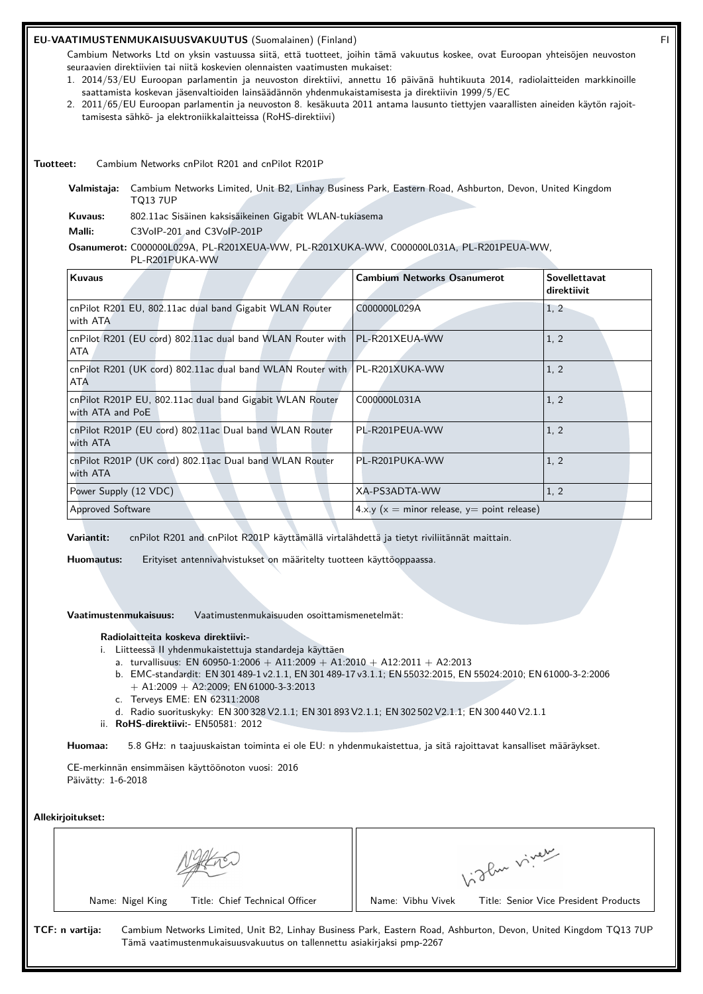# **EU-VAATIMUSTENMUKAISUUSVAKUUTUS** (Suomalainen) (Finland) FI

Cambium Networks Ltd on yksin vastuussa siitä, että tuotteet, joihin tämä vakuutus koskee, ovat Euroopan yhteisöjen neuvoston seuraavien direktiivien tai niitä koskevien olennaisten vaatimusten mukaiset:

- 1. 2014/53/EU Euroopan parlamentin ja neuvoston direktiivi, annettu 16 päivänä huhtikuuta 2014, radiolaitteiden markkinoille saattamista koskevan jäsenvaltioiden lainsäädännön yhdenmukaistamisesta ja direktiivin 1999/5/EC
- 2. 2011/65/EU Euroopan parlamentin ja neuvoston 8. kesäkuuta 2011 antama lausunto tiettyjen vaarallisten aineiden käytön rajoittamisesta sähkö- ja elektroniikkalaitteissa (RoHS-direktiivi)

#### **Tuotteet:** Cambium Networks cnPilot R201 and cnPilot R201P

**Valmistaja:** Cambium Networks Limited, Unit B2, Linhay Business Park, Eastern Road, Ashburton, Devon, United Kingdom TQ13 7UP

**Kuvaus:** 802.11ac Sisäinen kaksisäikeinen Gigabit WLAN-tukiasema

**Malli:** C3VoIP-201 and C3VoIP-201P

#### **Osanumerot:** C000000L029A, PL-R201XEUA-WW, PL-R201XUKA-WW, C000000L031A, PL-R201PEUA-WW,

PL-R201PUKA-WW

| <b>Kuvaus</b>                                                                      | <b>Cambium Networks Osanumerot</b>             | Sovellettavat<br>direktiivit |
|------------------------------------------------------------------------------------|------------------------------------------------|------------------------------|
| cnPilot R201 EU, 802.11ac dual band Gigabit WLAN Router<br>with ATA                | C000000L029A                                   | 1, 2                         |
| cnPilot R201 (EU cord) 802.11ac dual band WLAN Router with   PL-R201XEUA-WW<br>ATA |                                                | 1, 2                         |
| cnPilot R201 (UK cord) 802.11ac dual band WLAN Router with PL-R201XUKA-WW<br>ATA   |                                                | 1, 2                         |
| cnPilot R201P EU, 802.11ac dual band Gigabit WLAN Router<br>with ATA and PoE       | C000000L031A                                   | 1, 2                         |
| cnPilot R201P (EU cord) 802.11ac Dual band WLAN Router<br>with ATA                 | PL-R201PEUA-WW                                 | 1, 2                         |
| cnPilot R201P (UK cord) 802.11ac Dual band WLAN Router<br>with ATA                 | PL-R201PUKA-WW                                 | 1, 2                         |
| Power Supply (12 VDC)                                                              | XA-PS3ADTA-WW                                  | 1, 2                         |
| <b>Approved Software</b>                                                           | $4.x.y (x = minor release, y = point release)$ |                              |

**Variantit:** cnPilot R201 and cnPilot R201P käyttämällä virtalähdettä ja tietyt riviliitännät maittain.

**Huomautus:** Erityiset antennivahvistukset on määritelty tuotteen käyttöoppaassa.

**Vaatimustenmukaisuus:** Vaatimustenmukaisuuden osoittamismenetelmät:

#### **Radiolaitteita koskeva direktiivi:-**

- i. Liitteessä II yhdenmukaistettuja standardeja käyttäen
	- a. turvallisuus: EN 60950-1:2006 + A11:2009 + A1:2010 + A12:2011 + A2:2013
	- b. EMC-standardit: EN 301 489-1 v2.1.1, EN 301 489-17 v3.1.1; EN 55032:2015, EN 55024:2010; EN 61000-3-2:2006 + A1:2009 + A2:2009; EN 61000-3-3:2013
	- c. Terveys EME: EN 62311:2008
	- d. Radio suorituskyky: EN 300 328 V2.1.1; EN 301 893 V2.1.1; EN 302 502 V2.1.1; EN 300 440 V2.1.1
- ii. **RoHS-direktiivi:-** EN50581: 2012

**Huomaa:** 5.8 GHz: n taajuuskaistan toiminta ei ole EU: n yhdenmukaistettua, ja sitä rajoittavat kansalliset määräykset.

CE-merkinnän ensimmäisen käyttöönoton vuosi: 2016 Päivätty: 1-6-2018

#### **Allekirjoitukset:**

|                 |                  | oflue viver                                                            |                   |                                                                                                                  |
|-----------------|------------------|------------------------------------------------------------------------|-------------------|------------------------------------------------------------------------------------------------------------------|
|                 | Name: Nigel King | Title: Chief Technical Officer                                         | Name: Vibhu Vivek | Title: Senior Vice President Products                                                                            |
| TCF: n vartija: |                  | Tämä vaatimustenmukaisuusvakuutus on tallennettu asiakirjaksi pmp-2267 |                   | Cambium Networks Limited, Unit B2, Linhay Business Park, Eastern Road, Ashburton, Devon, United Kingdom TQ13 7UP |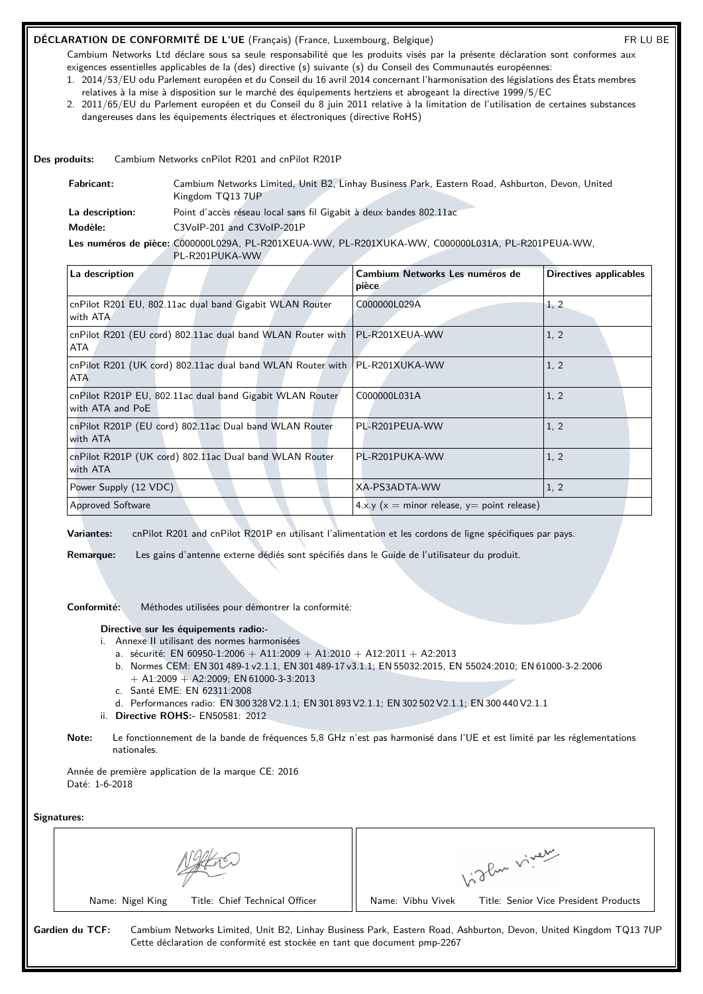# **DÉCLARATION DE CONFORMITÉ DE L'UE** (Français) (France, Luxembourg, Belgique) FR LU BE

Cambium Networks Ltd déclare sous sa seule responsabilité que les produits visés par la présente déclaration sont conformes aux exigences essentielles applicables de la (des) directive (s) suivante (s) du Conseil des Communautés européennes:

- 1. 2014/53/EU odu Parlement européen et du Conseil du 16 avril 2014 concernant l'harmonisation des législations des États membres relatives à la mise à disposition sur le marché des équipements hertziens et abrogeant la directive 1999/5/EC
- 2. 2011/65/EU du Parlement européen et du Conseil du 8 juin 2011 relative à la limitation de l'utilisation de certaines substances dangereuses dans les équipements électriques et électroniques (directive RoHS)

**Des produits:** Cambium Networks cnPilot R201 and cnPilot R201P

| <b>Fabricant:</b> | Cambium Networks Limited, Unit B2, Linhay Business Park, Eastern Road, Ashburton, Devon, United<br>Kingdom TQ13 7UP |
|-------------------|---------------------------------------------------------------------------------------------------------------------|
| La description:   | Point d'accès réseau local sans fil Gigabit à deux bandes 802.11ac                                                  |
| Modèle:           | C3VoIP-201 and C3VoIP-201P                                                                                          |
|                   | Les numéros de pièce: C000000L029A, PL-R201XEUA-WW, PL-R201XUKA-WW, C000000L031A, PL-R201PEUA-WW,                   |
|                   | PL-R201PUKA-WW                                                                                                      |

| La description                                                                     | Cambium Networks Les numéros de<br>pièce      | Directives applicables |
|------------------------------------------------------------------------------------|-----------------------------------------------|------------------------|
| cnPilot R201 EU, 802.11ac dual band Gigabit WLAN Router<br>with ATA                | C000000L029A                                  | 1, 2                   |
| cnPilot R201 (EU cord) 802.11ac dual band WLAN Router with   PL-R201XEUA-WW<br>ATA |                                               | 1, 2                   |
| cnPilot R201 (UK cord) 802.11ac dual band WLAN Router with<br>ATA                  | PL-R201XUKA-WW                                | 1, 2                   |
| cnPilot R201P EU, 802.11ac dual band Gigabit WLAN Router<br>with ATA and PoE       | C000000L031A                                  | 1, 2                   |
| cnPilot R201P (EU cord) 802.11ac Dual band WLAN Router<br>with ATA                 | PL-R201PEUA-WW                                | 1, 2                   |
| cnPilot R201P (UK cord) 802.11ac Dual band WLAN Router<br>with ATA                 | PL-R201PUKA-WW                                | 1, 2                   |
| Power Supply (12 VDC)                                                              | XA-PS3ADTA-WW                                 | 1, 2                   |
| <b>Approved Software</b>                                                           | $4.x.y(x = minor release, y = point release)$ |                        |

**Variantes:** cnPilot R201 and cnPilot R201P en utilisant l'alimentation et les cordons de ligne spécifiques par pays.

**Remarque:** Les gains d'antenne externe dédiés sont spécifiés dans le Guide de l'utilisateur du produit.

**Conformité:** Méthodes utilisées pour démontrer la conformité:

#### **Directive sur les équipements radio:-**

- i. Annexe II utilisant des normes harmonisées
	- a. sécurité: EN 60950-1:2006 + A11:2009 + A1:2010 + A12:2011 + A2:2013
	- b. Normes CEM: EN 301 489-1 v2.1.1, EN 301 489-17 v3.1.1; EN 55032:2015, EN 55024:2010; EN 61000-3-2:2006  $+$  A1:2009  $+$  A2:2009; EN 61000-3-3:2013
	- c. Santé EME: EN 62311:2008
	- d. Performances radio: EN 300 328 V2.1.1; EN 301 893 V2.1.1; EN 302 502 V2.1.1; EN 300 440 V2.1.1
- ii. **Directive ROHS:-** EN50581: 2012
- **Note:** Le fonctionnement de la bande de fréquences 5,8 GHz n'est pas harmonisé dans l'UE et est limité par les réglementations nationales.

Année de première application de la marque CE: 2016 Daté: 1-6-2018

**Signatures:**

|                                                                                              | glu viver                                                                                                        |
|----------------------------------------------------------------------------------------------|------------------------------------------------------------------------------------------------------------------|
| Title: Chief Technical Officer<br>Name: Nigel King                                           | Title: Senior Vice President Products<br>Name: Vibhu Vivek                                                       |
| Gardien du TCF:<br>Cette déclaration de conformité est stockée en tant que document pmp-2267 | Cambium Networks Limited, Unit B2, Linhay Business Park, Eastern Road, Ashburton, Devon, United Kingdom TQ13 7UP |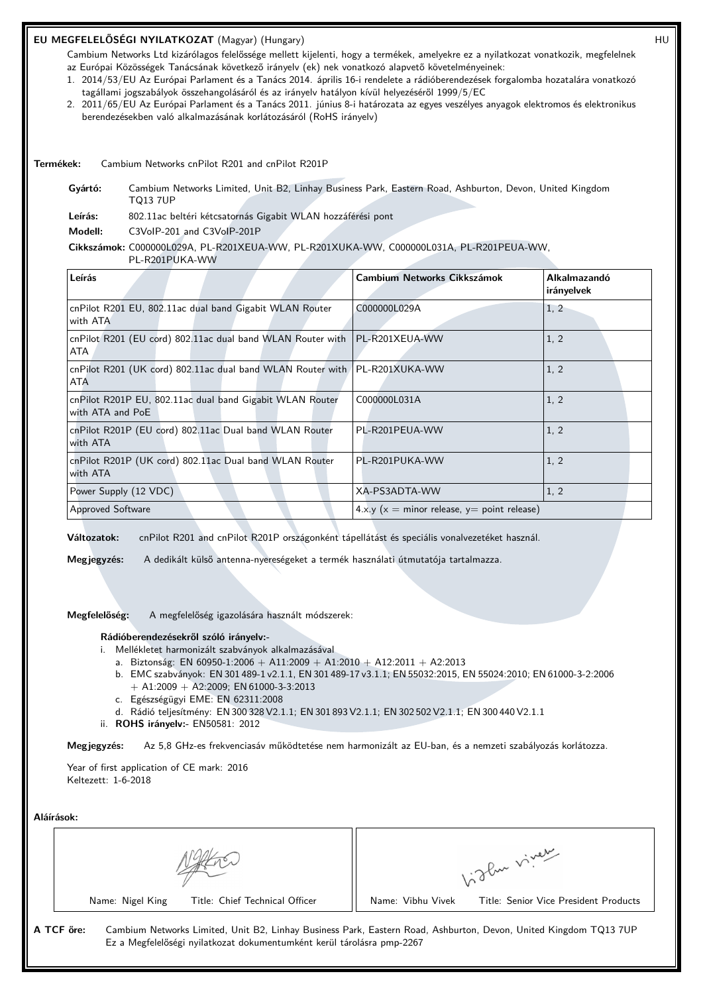# **EU MEGFELELŐSÉGI NYILATKOZAT** (Magyar) (Hungary) HU

Cambium Networks Ltd kizárólagos felelőssége mellett kijelenti, hogy a termékek, amelyekre ez a nyilatkozat vonatkozik, megfelelnek az Európai Közösségek Tanácsának következő irányelv (ek) nek vonatkozó alapvető követelményeinek:

- 1. 2014/53/EU Az Európai Parlament és a Tanács 2014. április 16-i rendelete a rádióberendezések forgalomba hozatalára vonatkozó tagállami jogszabályok összehangolásáról és az irányelv hatályon kívül helyezéséről 1999/5/EC
- 2. 2011/65/EU Az Európai Parlament és a Tanács 2011. június 8-i határozata az egyes veszélyes anyagok elektromos és elektronikus berendezésekben való alkalmazásának korlátozásáról (RoHS irányelv)

**Termékek:** Cambium Networks cnPilot R201 and cnPilot R201P

**Gyártó:** Cambium Networks Limited, Unit B2, Linhay Business Park, Eastern Road, Ashburton, Devon, United Kingdom TQ13 7UP

**Leírás:** 802.11ac beltéri kétcsatornás Gigabit WLAN hozzáférési pont

**Modell:** C3VoIP-201 and C3VoIP-201P

#### **Cikkszámok:** C000000L029A, PL-R201XEUA-WW, PL-R201XUKA-WW, C000000L031A, PL-R201PEUA-WW,

PL-R201PUKA-WW

| Leírás                                                                                    | Cambium Networks Cikkszámok                   | <b>Alkalmazandó</b><br>irányelvek |
|-------------------------------------------------------------------------------------------|-----------------------------------------------|-----------------------------------|
| cnPilot R201 EU, 802.11ac dual band Gigabit WLAN Router<br>with ATA                       | C000000L029A                                  | 1, 2                              |
| cnPilot R201 (EU cord) 802.11ac dual band WLAN Router with   PL-R201XEUA-WW<br><b>ATA</b> |                                               | 1, 2                              |
| cnPilot R201 (UK cord) 802.11ac dual band WLAN Router with   PL-R201XUKA-WW<br><b>ATA</b> |                                               | 1, 2                              |
| cnPilot R201P EU, 802.11ac dual band Gigabit WLAN Router<br>with ATA and PoE              | C000000L031A                                  | 1, 2                              |
| cnPilot R201P (EU cord) 802.11ac Dual band WLAN Router<br>with ATA                        | PL-R201PEUA-WW                                | 1, 2                              |
| cnPilot R201P (UK cord) 802.11ac Dual band WLAN Router<br>with ATA                        | PL-R201PUKA-WW                                | 1, 2                              |
| Power Supply (12 VDC)                                                                     | XA-PS3ADTA-WW                                 | 1, 2                              |
| <b>Approved Software</b>                                                                  | $4.x.y(x = minor release, y = point release)$ |                                   |

**Változatok:** cnPilot R201 and cnPilot R201P országonként tápellátást és speciális vonalvezetéket használ.

**Megjegyzés:** A dedikált külső antenna-nyereségeket a termék használati útmutatója tartalmazza.

**Megfelelőség:** A megfelelőség igazolására használt módszerek:

#### **Rádióberendezésekről szóló irányelv:-**

- i. Mellékletet harmonizált szabványok alkalmazásával
	- a. Biztonság: EN 60950-1:2006 + A11:2009 + A1:2010 + A12:2011 + A2:2013
	- b. EMC szabványok: EN 301 489-1 v2.1.1, EN 301 489-17 v3.1.1; EN 55032:2015, EN 55024:2010; EN 61000-3-2:2006  $+$  A1:2009  $+$  A2:2009; EN 61000-3-3:2013
	- c. Egészségügyi EME: EN 62311:2008
	- d. Rádió teljesítmény: EN 300 328 V2.1.1; EN 301 893 V2.1.1; EN 302 502 V2.1.1; EN 300 440 V2.1.1
- ii. **ROHS irányelv:-** EN50581: 2012

**Megjegyzés:** Az 5,8 GHz-es frekvenciasáv működtetése nem harmonizált az EU-ban, és a nemzeti szabályozás korlátozza.

Year of first application of CE mark: 2016 Keltezett: 1-6-2018

**Aláírások:**

|                                                                                      | of the viver                                                                                                     |
|--------------------------------------------------------------------------------------|------------------------------------------------------------------------------------------------------------------|
| Title: Chief Technical Officer<br>Name: Nigel King                                   | Name: Vibhu Vivek<br>Title: Senior Vice President Products                                                       |
| A TCF őre:<br>Ez a Megfelelőségi nyilatkozat dokumentumként kerül tárolásra pmp-2267 | Cambium Networks Limited, Unit B2, Linhay Business Park, Eastern Road, Ashburton, Devon, United Kingdom TQ13 7UP |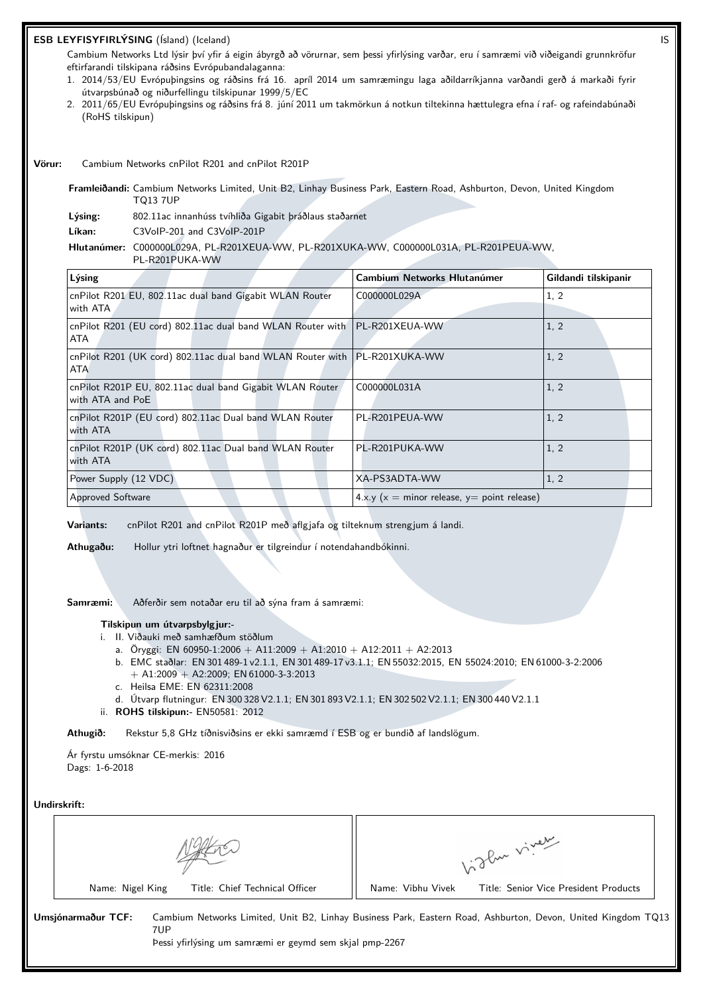# **ESB LEYFISYFIRLÝSING** (Ísland) (Iceland) IS

Cambium Networks Ltd lýsir því yfir á eigin ábyrgð að vörurnar, sem þessi yfirlýsing varðar, eru í samræmi við viðeigandi grunnkröfur eftirfarandi tilskipana ráðsins Evrópubandalaganna:

- 1. 2014/53/EU Evrópuþingsins og ráðsins frá 16. apríl 2014 um samræmingu laga aðildarríkjanna varðandi gerð á markaði fyrir útvarpsbúnað og niðurfellingu tilskipunar 1999/5/EC
- 2. 2011/65/EU Evrópuþingsins og ráðsins frá 8. júní 2011 um takmörkun á notkun tiltekinna hættulegra efna í raf- og rafeindabúnaði (RoHS tilskipun)

**Vörur:** Cambium Networks cnPilot R201 and cnPilot R201P

**Framleiðandi:** Cambium Networks Limited, Unit B2, Linhay Business Park, Eastern Road, Ashburton, Devon, United Kingdom TQ13 7UP

**Lýsing:** 802.11ac innanhúss tvíhliða Gigabit þráðlaus staðarnet

**Líkan:** C3VoIP-201 and C3VoIP-201P

#### **Hlutanúmer:** C000000L029A, PL-R201XEUA-WW, PL-R201XUKA-WW, C000000L031A, PL-R201PEUA-WW,

PL-R201PUKA-WW

| Lýsing                                                                                    | Cambium Networks Hlutanúmer                   | Gildandi tilskipanir |  |
|-------------------------------------------------------------------------------------------|-----------------------------------------------|----------------------|--|
| cnPilot R201 EU, 802.11ac dual band Gigabit WLAN Router<br>with ATA                       | C000000L029A                                  | 1, 2                 |  |
| cnPilot R201 (EU cord) 802.11ac dual band WLAN Router with   PL-R201XEUA-WW<br>ATA        |                                               | 1, 2                 |  |
| cnPilot R201 (UK cord) 802.11ac dual band WLAN Router with   PL-R201XUKA-WW<br><b>ATA</b> |                                               | 1, 2                 |  |
| cnPilot R201P EU, 802.11ac dual band Gigabit WLAN Router<br>with ATA and PoE              | C000000L031A                                  | 1, 2                 |  |
| cnPilot R201P (EU cord) 802.11ac Dual band WLAN Router<br>with ATA                        | PL-R201PEUA-WW                                | 1, 2                 |  |
| cnPilot R201P (UK cord) 802.11ac Dual band WLAN Router<br>with ATA                        | PL-R201PUKA-WW                                | 1, 2                 |  |
| Power Supply (12 VDC)                                                                     | XA-PS3ADTA-WW                                 | 1, 2                 |  |
| <b>Approved Software</b>                                                                  | $4.x.y(x = minor release, y = point release)$ |                      |  |

**Variants:** cnPilot R201 and cnPilot R201P með aflgjafa og tilteknum strengjum á landi.

**Athugaðu:** Hollur ytri loftnet hagnaður er tilgreindur í notendahandbókinni.

**Samræmi:** Aðferðir sem notaðar eru til að sýna fram á samræmi:

# **Tilskipun um útvarpsbylgjur:-**

- i. II. Viðauki með samhæfðum stöðlum
	- a. Öryggi: EN 60950-1:2006 + A11:2009 + A1:2010 + A12:2011 + A2:2013
	- b. EMC staðlar: EN 301 489-1 v2.1.1, EN 301 489-17 v3.1.1; EN 55032:2015, EN 55024:2010; EN 61000-3-2:2006 + A1:2009 + A2:2009; EN 61000-3-3:2013
	- c. Heilsa EME: EN 62311:2008
	- d. Útvarp flutningur: EN 300 328 V2.1.1; EN 301 893 V2.1.1; EN 302 502 V2.1.1; EN 300 440 V2.1.1
- ii. **ROHS tilskipun:-** EN50581: 2012

**Athugið:** Rekstur 5,8 GHz tíðnisviðsins er ekki samræmd í ESB og er bundið af landslögum.

Ár fyrstu umsóknar CE-merkis: 2016 Dags: 1-6-2018

#### **Undirskrift:**

|                                                    | ylu viver                                                                                                    |
|----------------------------------------------------|--------------------------------------------------------------------------------------------------------------|
| Title: Chief Technical Officer<br>Name: Nigel King | Name: Vibhu Vivek<br>Title: Senior Vice President Products                                                   |
| Umsjónarmaður TCF:<br>7UP                          | Cambium Networks Limited, Unit B2, Linhay Business Park, Eastern Road, Ashburton, Devon, United Kingdom TQ13 |

Þessi yfirlýsing um samræmi er geymd sem skjal pmp-2267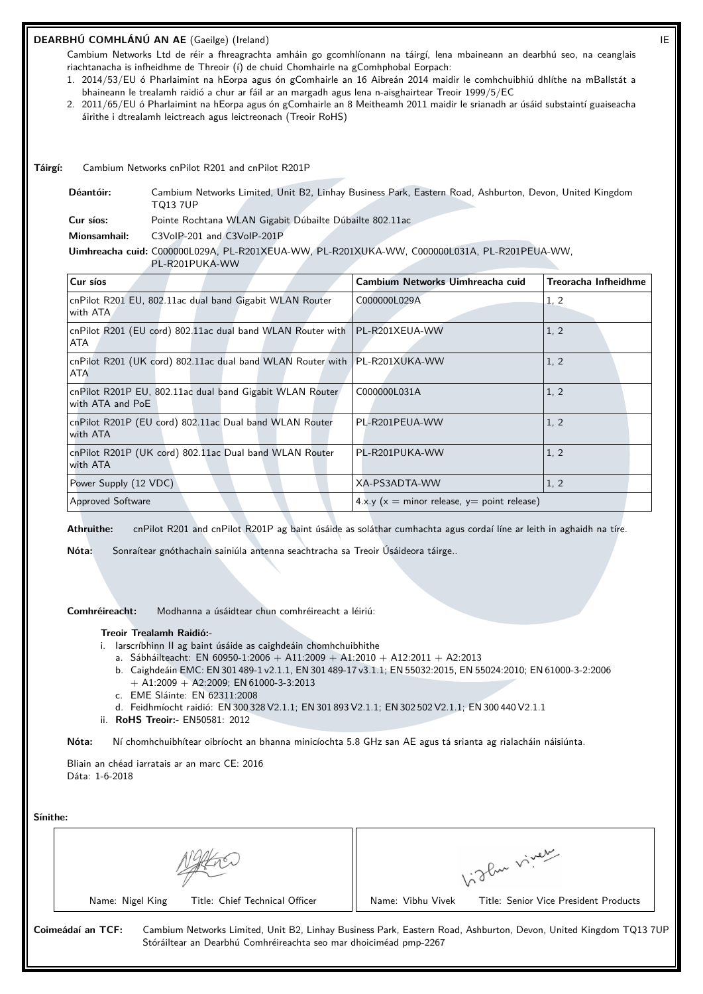# **DEARBHÚ COMHLÁNÚ AN AE** (Gaeilge) (Ireland) IE

Cambium Networks Ltd de réir a fhreagrachta amháin go gcomhlíonann na táirgí, lena mbaineann an dearbhú seo, na ceanglais riachtanacha is infheidhme de Threoir (í) de chuid Chomhairle na gComhphobal Eorpach:

- 1. 2014/53/EU ó Pharlaimint na hEorpa agus ón gComhairle an 16 Aibreán 2014 maidir le comhchuibhiú dhlíthe na mBallstát a bhaineann le trealamh raidió a chur ar fáil ar an margadh agus lena n-aisghairtear Treoir 1999/5/EC
- 2. 2011/65/EU ó Pharlaimint na hEorpa agus ón gComhairle an 8 Meitheamh 2011 maidir le srianadh ar úsáid substaintí guaiseacha áirithe i dtrealamh leictreach agus leictreonach (Treoir RoHS)

**Táirgí:** Cambium Networks cnPilot R201 and cnPilot R201P

**Déantóir:** Cambium Networks Limited, Unit B2, Linhay Business Park, Eastern Road, Ashburton, Devon, United Kingdom TQ13 7UP

**Cur síos:** Pointe Rochtana WLAN Gigabit Dúbailte Dúbailte 802.11ac

**Mionsamhail:** C3VoIP-201 and C3VoIP-201P

**Uimhreacha cuid:** C000000L029A, PL-R201XEUA-WW, PL-R201XUKA-WW, C000000L031A, PL-R201PEUA-WW,

| PL-R201PUKA-WW                                                                   |                                               |                             |
|----------------------------------------------------------------------------------|-----------------------------------------------|-----------------------------|
| Cur síos                                                                         | Cambium Networks Uimhreacha cuid              | <b>Treoracha Infheidhme</b> |
| cnPilot R201 EU, 802.11ac dual band Gigabit WLAN Router<br>with ATA              | C000000L029A                                  | 1, 2                        |
| cnPilot R201 (EU cord) 802.11ac dual band WLAN Router with<br>ATA                | PL-R201XEUA-WW                                | 1, 2                        |
| cnPilot R201 (UK cord) 802.11ac dual band WLAN Router with PL-R201XUKA-WW<br>ATA |                                               | 1, 2                        |
| cnPilot R201P EU, 802.11ac dual band Gigabit WLAN Router<br>with ATA and PoE     | C000000L031A                                  | 1, 2                        |
| cnPilot R201P (EU cord) 802.11ac Dual band WLAN Router<br>with ATA               | PL-R201PEUA-WW                                | 1, 2                        |
| cnPilot R201P (UK cord) 802.11ac Dual band WLAN Router<br>with ATA               | PL-R201PUKA-WW                                | 1, 2                        |
| Power Supply (12 VDC)                                                            | XA-PS3ADTA-WW                                 | 1, 2                        |
| <b>Approved Software</b>                                                         | $4.x.y(x = minor release, y = point release)$ |                             |

**Athruithe:** cnPilot R201 and cnPilot R201P ag baint úsáide as soláthar cumhachta agus cordaí líne ar leith in aghaidh na tíre.

**Nóta:** Sonraítear gnóthachain sainiúla antenna seachtracha sa Treoir Úsáideora táirge..

**Comhréireacht:** Modhanna a úsáidtear chun comhréireacht a léiriú:

#### **Treoir Trealamh Raidió:-**

- i. Iarscríbhinn II ag baint úsáide as caighdeáin chomhchuibhithe
	- a. Sábháilteacht: EN 60950-1:2006 + A11:2009 + A1:2010 + A12:2011 + A2:2013
	- b. Caighdeáin EMC: EN 301 489-1 v2.1.1, EN 301 489-17 v3.1.1; EN 55032:2015, EN 55024:2010; EN 61000-3-2:2006  $+$  A1:2009  $+$  A2:2009; EN 61000-3-3:2013
	- c. EME Sláinte: EN 62311:2008
	- d. Feidhmíocht raidió: EN 300 328 V2.1.1; EN 301 893 V2.1.1; EN 302 502 V2.1.1; EN 300 440 V2.1.1
- ii. **RoHS Treoir:-** EN50581: 2012

**Nóta:** Ní chomhchuibhítear oibríocht an bhanna minicíochta 5.8 GHz san AE agus tá srianta ag rialacháin náisiúnta.

Bliain an chéad iarratais ar an marc CE: 2016 Dáta: 1-6-2018

**Sínithe:**

| энние.                                             |                                                                                                                                                                                       |  |
|----------------------------------------------------|---------------------------------------------------------------------------------------------------------------------------------------------------------------------------------------|--|
|                                                    | glan viver                                                                                                                                                                            |  |
| Title: Chief Technical Officer<br>Name: Nigel King | Name: Vibhu Vivek<br>Title: Senior Vice President Products                                                                                                                            |  |
| Coimeádaí an TCF:                                  | Cambium Networks Limited, Unit B2, Linhay Business Park, Eastern Road, Ashburton, Devon, United Kingdom TQ13 7UF<br>Stóráiltear an Dearbhú Comhréireachta seo mar dhoiciméad pmp-2267 |  |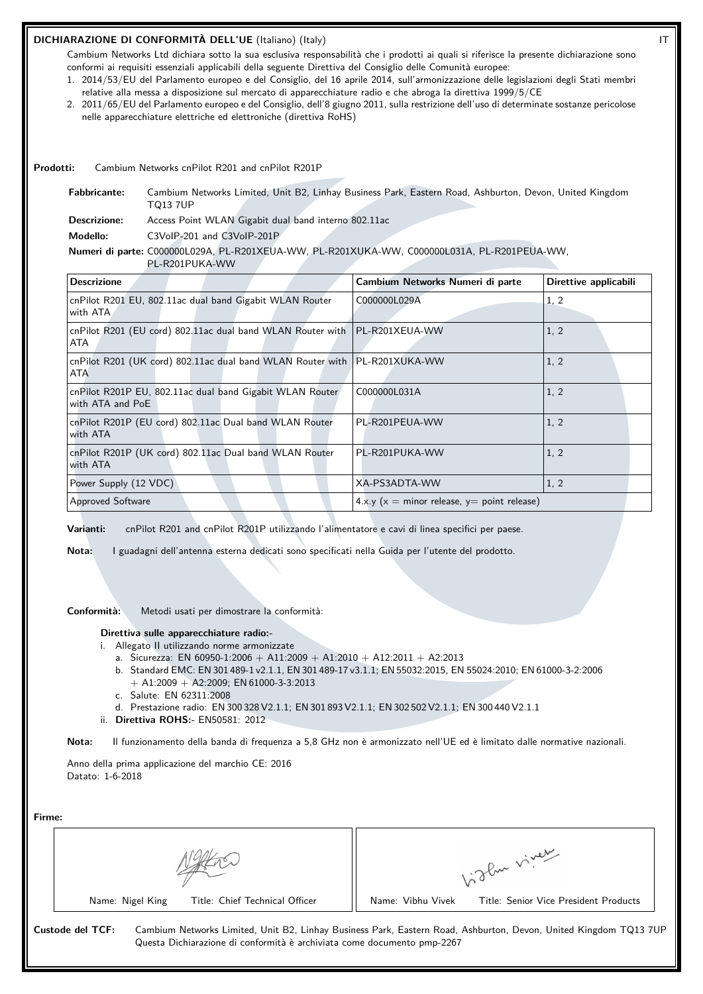# **DICHIARAZIONE DI CONFORMITÀ DELL'UE** (Italiano) (Italy) IT

Cambium Networks Ltd dichiara sotto la sua esclusiva responsabilità che i prodotti ai quali si riferisce la presente dichiarazione sono conformi ai requisiti essenziali applicabili della seguente Direttiva del Consiglio delle Comunità europee:

- 1. 2014/53/EU del Parlamento europeo e del Consiglio, del 16 aprile 2014, sull'armonizzazione delle legislazioni degli Stati membri relative alla messa a disposizione sul mercato di apparecchiature radio e che abroga la direttiva 1999/5/CE
- 2. 2011/65/EU del Parlamento europeo e del Consiglio, dell'8 giugno 2011, sulla restrizione dell'uso di determinate sostanze pericolose nelle apparecchiature elettriche ed elettroniche (direttiva RoHS)

**Prodotti:** Cambium Networks cnPilot R201 and cnPilot R201P

**Fabbricante:** Cambium Networks Limited, Unit B2, Linhay Business Park, Eastern Road, Ashburton, Devon, United Kingdom TQ13 7UP

**Descrizione:** Access Point WLAN Gigabit dual band interno 802.11ac

**Modello:** C3VoIP-201 and C3VoIP-201P

PL-R201PUKA-WW

#### **Numeri di parte:** C000000L029A, PL-R201XEUA-WW, PL-R201XUKA-WW, C000000L031A, PL-R201PEUA-WW,

| <b>Descrizione</b>                                                                        | Cambium Networks Numeri di parte              | Direttive applicabili |
|-------------------------------------------------------------------------------------------|-----------------------------------------------|-----------------------|
| cnPilot R201 EU, 802.11ac dual band Gigabit WLAN Router<br>with ATA                       | C000000L029A                                  | 1, 2                  |
| cnPilot R201 (EU cord) 802.11ac dual band WLAN Router with   PL-R201XEUA-WW<br>ATA        |                                               | 1, 2                  |
| cnPilot R201 (UK cord) 802.11ac dual band WLAN Router with   PL-R201XUKA-WW<br><b>ATA</b> |                                               | 1, 2                  |
| cnPilot R201P EU, 802.11ac dual band Gigabit WLAN Router<br>with ATA and PoE              | C000000L031A                                  | 1, 2                  |
| cnPilot R201P (EU cord) 802.11ac Dual band WLAN Router<br>with ATA                        | PL-R201PEUA-WW                                | 1, 2                  |
| cnPilot R201P (UK cord) 802.11ac Dual band WLAN Router<br>with ATA                        | PL-R201PUKA-WW                                | 1, 2                  |
| Power Supply (12 VDC)                                                                     | XA-PS3ADTA-WW                                 | 1, 2                  |
| <b>Approved Software</b>                                                                  | $4.x.y(x = minor release, y = point release)$ |                       |

**Varianti:** cnPilot R201 and cnPilot R201P utilizzando l'alimentatore e cavi di linea specifici per paese.

**Nota:** I guadagni dell'antenna esterna dedicati sono specificati nella Guida per l'utente del prodotto.

**Conformità:** Metodi usati per dimostrare la conformità:

#### **Direttiva sulle apparecchiature radio:-**

- i. Allegato II utilizzando norme armonizzate
	- a. Sicurezza: EN 60950-1:2006 + A11:2009 + A1:2010 + A12:2011 + A2:2013
	- b. Standard EMC: EN 301 489-1 v2.1.1, EN 301 489-17 v3.1.1; EN 55032:2015, EN 55024:2010; EN 61000-3-2:2006  $+$  A1:2009  $+$  A2:2009; EN 61000-3-3:2013
	- c. Salute: EN 62311:2008
	- d. Prestazione radio: EN 300 328 V2.1.1; EN 301 893 V2.1.1; EN 302 502 V2.1.1; EN 300 440 V2.1.1
- ii. **Direttiva ROHS:-** EN50581: 2012

**Nota:** Il funzionamento della banda di frequenza a 5,8 GHz non è armonizzato nell'UE ed è limitato dalle normative nazionali.

Anno della prima applicazione del marchio CE: 2016 Datato: 1-6-2018

| ırme: |  |
|-------|--|
|       |  |

|                                                                                             | glan viver                                                                                                       |
|---------------------------------------------------------------------------------------------|------------------------------------------------------------------------------------------------------------------|
| Title: Chief Technical Officer<br>Name: Nigel King                                          | Name: Vibhu Vivek<br>Title: Senior Vice President Products                                                       |
| Custode del TCF:<br>Questa Dichiarazione di conformità è archiviata come documento pmp-2267 | Cambium Networks Limited, Unit B2, Linhay Business Park, Eastern Road, Ashburton, Devon, United Kingdom TQ13 7UP |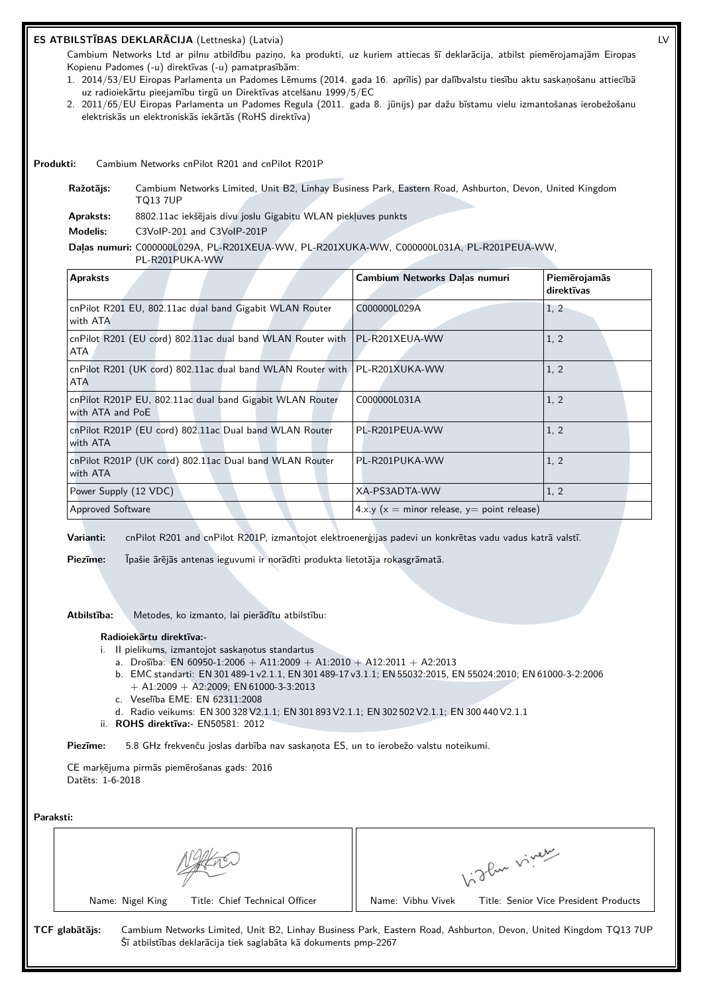# **ES ATBILSTĪBAS DEKLARĀCIJA** (Lettneska) (Latvia) LV

Cambium Networks Ltd ar pilnu atbildību paziņo, ka produkti, uz kuriem attiecas šī deklarācija, atbilst piemērojamajām Eiropas Kopienu Padomes (-u) direktīvas (-u) pamatprasībām:

- 1. 2014/53/EU Eiropas Parlamenta un Padomes Lēmums (2014. gada 16. aprīlis) par dalībvalstu tiesību aktu saskaņošanu attiecībā uz radioiekārtu pieejamību tirgū un Direktīvas atcelšanu 1999/5/EC
- 2. 2011/65/EU Eiropas Parlamenta un Padomes Regula (2011. gada 8. jūnijs) par dažu bīstamu vielu izmantošanas ierobežošanu elektriskās un elektroniskās iekārtās (RoHS direktīva)

**Produkti:** Cambium Networks cnPilot R201 and cnPilot R201P

**Ražotājs:** Cambium Networks Limited, Unit B2, Linhay Business Park, Eastern Road, Ashburton, Devon, United Kingdom TQ13 7UP

**Apraksts:** 8802.11ac iekšējais divu joslu Gigabitu WLAN piekļuves punkts

**Modelis:** C3VoIP-201 and C3VoIP-201P

#### **Daļas numuri:** C000000L029A, PL-R201XEUA-WW, PL-R201XUKA-WW, C000000L031A, PL-R201PEUA-WW,

PL-R201PUKA-WW

| <b>Apraksts</b>                                                                         | Cambium Networks Dalas numuri                 | Piemērojamās<br>direktīvas |
|-----------------------------------------------------------------------------------------|-----------------------------------------------|----------------------------|
| cnPilot R201 EU, 802.11ac dual band Gigabit WLAN Router<br>with ATA                     | C000000L029A                                  | 1, 2                       |
| cnPilot R201 (EU cord) 802.11ac dual band WLAN Router with   PL-R201XEUA-WW<br>ATA      |                                               | 1, 2                       |
| cnPilot R201 (UK cord) 802.11ac dual band WLAN Router with PL-R201XUKA-WW<br><b>ATA</b> |                                               | 1, 2                       |
| cnPilot R201P EU, 802.11ac dual band Gigabit WLAN Router<br>with ATA and PoE            | C000000L031A                                  | 1, 2                       |
| cnPilot R201P (EU cord) 802.11ac Dual band WLAN Router<br>with ATA                      | PL-R201PEUA-WW                                | 1, 2                       |
| cnPilot R201P (UK cord) 802.11ac Dual band WLAN Router<br>with ATA                      | PL-R201PUKA-WW                                | 1, 2                       |
| Power Supply (12 VDC)                                                                   | XA-PS3ADTA-WW                                 | 1, 2                       |
| <b>Approved Software</b>                                                                | $4.x.y(x = minor release, y = point release)$ |                            |

**Varianti:** cnPilot R201 and cnPilot R201P, izmantojot elektroenerģijas padevi un konkrētas vadu vadus katrā valstī.

**Piezīme:** Īpašie ārējās antenas ieguvumi ir norādīti produkta lietotāja rokasgrāmatā.

**Atbilstība:** Metodes, ko izmanto, lai pierādītu atbilstību:

#### **Radioiekārtu direktīva:-**

- i. II pielikums, izmantojot saskaņotus standartus
	- a. Drošība: EN 60950-1:2006 + A11:2009 + A1:2010 + A12:2011 + A2:2013
	- b. EMC standarti: EN 301 489-1 v2.1.1, EN 301 489-17 v3.1.1; EN 55032:2015, EN 55024:2010; EN 61000-3-2:2006 + A1:2009 + A2:2009; EN 61000-3-3:2013
	- c. Veselība EME: EN 62311:2008
	- d. Radio veikums: EN 300 328 V2.1.1; EN 301 893 V2.1.1; EN 302 502 V2.1.1; EN 300 440 V2.1.1
- ii. **ROHS direktīva:-** EN50581: 2012

**Piezīme:** 5.8 GHz frekvenču joslas darbība nav saskaņota ES, un to ierobežo valstu noteikumi.

CE marķējuma pirmās piemērošanas gads: 2016 Datēts: 1-6-2018

| Paraksti: |                |                  |                                                                 |                   |                                                                                                                  |
|-----------|----------------|------------------|-----------------------------------------------------------------|-------------------|------------------------------------------------------------------------------------------------------------------|
|           |                |                  |                                                                 |                   | 1:2 Pur viver                                                                                                    |
|           |                | Name: Nigel King | Title: Chief Technical Officer                                  | Name: Vibhu Vivek | Title: Senior Vice President Products                                                                            |
|           | TCF glabātājs: |                  | Šī atbilstības deklarācija tiek saglabāta kā dokuments pmp-2267 |                   | Cambium Networks Limited, Unit B2, Linhay Business Park, Eastern Road, Ashburton, Devon, United Kingdom TQ13 7UP |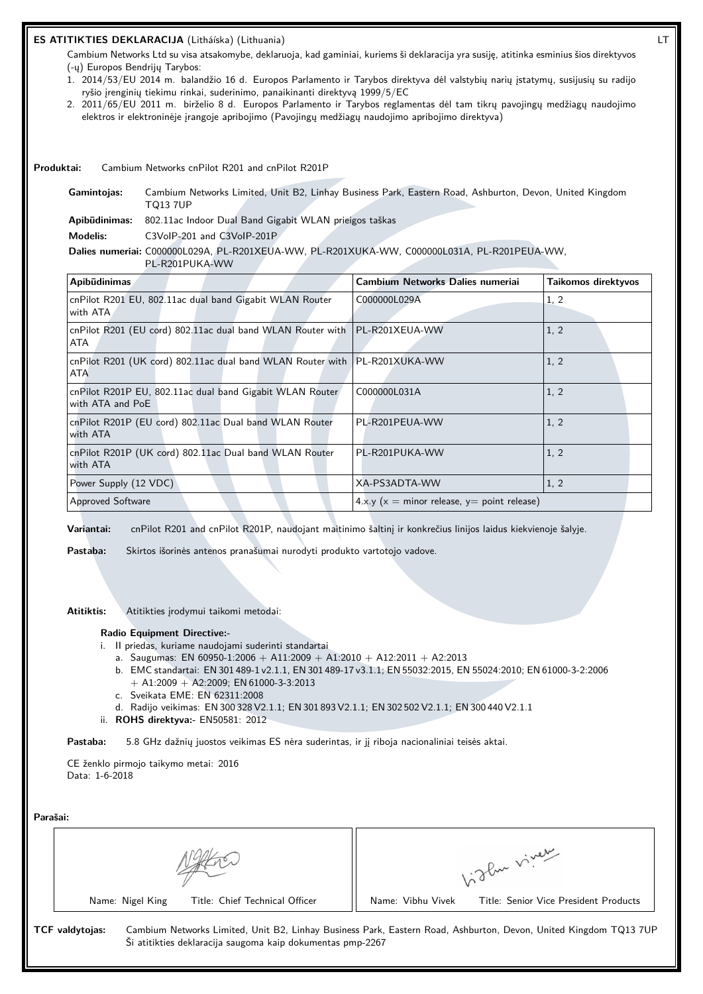# **ES ATITIKTIES DEKLARACIJA** (Litháíska) (Lithuania) LT

Cambium Networks Ltd su visa atsakomybe, deklaruoja, kad gaminiai, kuriems ši deklaracija yra susiję, atitinka esminius šios direktyvos (-ų) Europos Bendrijų Tarybos:

- 1. 2014/53/EU 2014 m. balandžio 16 d. Europos Parlamento ir Tarybos direktyva dėl valstybių narių įstatymų, susijusių su radijo ryšio įrenginių tiekimu rinkai, suderinimo, panaikinanti direktyvą 1999/5/EC
- 2. 2011/65/EU 2011 m. birželio 8 d. Europos Parlamento ir Tarybos reglamentas dėl tam tikrų pavojingų medžiagų naudojimo elektros ir elektroninėje įrangoje apribojimo (Pavojingų medžiagų naudojimo apribojimo direktyva)

**Produktai:** Cambium Networks cnPilot R201 and cnPilot R201P

**Gamintojas:** Cambium Networks Limited, Unit B2, Linhay Business Park, Eastern Road, Ashburton, Devon, United Kingdom TQ13 7UP

**Apibūdinimas:** 802.11ac Indoor Dual Band Gigabit WLAN prieigos taškas

**Modelis:** C3VoIP-201 and C3VoIP-201P

**Dalies numeriai:** C000000L029A, PL-R201XEUA-WW, PL-R201XUKA-WW, C000000L031A, PL-R201PEUA-WW,

| PL-R201PUKA-WW                                                                     |                                               |                     |  |
|------------------------------------------------------------------------------------|-----------------------------------------------|---------------------|--|
| Apibūdinimas                                                                       | Cambium Networks Dalies numeriai              | Taikomos direktyvos |  |
| cnPilot R201 EU, 802.11ac dual band Gigabit WLAN Router<br>with ATA                | C000000L029A                                  | 1, 2                |  |
| cnPilot R201 (EU cord) 802.11ac dual band WLAN Router with   PL-R201XEUA-WW<br>ATA |                                               | 1, 2                |  |
| cnPilot R201 (UK cord) 802.11ac dual band WLAN Router with   PL-R201XUKA-WW<br>ATA |                                               | 1, 2                |  |
| cnPilot R201P EU, 802.11ac dual band Gigabit WLAN Router<br>with ATA and PoE       | C000000L031A                                  | 1, 2                |  |
| cnPilot R201P (EU cord) 802.11ac Dual band WLAN Router<br>with ATA                 | PL-R201PEUA-WW                                | 1, 2                |  |
| cnPilot R201P (UK cord) 802.11ac Dual band WLAN Router<br>with ATA                 | PL-R201PUKA-WW                                | 1, 2                |  |
| Power Supply (12 VDC)                                                              | XA-PS3ADTA-WW                                 | 1, 2                |  |
| Approved Software                                                                  | $4.x.y(x = minor release, y = point release)$ |                     |  |

**Variantai:** cnPilot R201 and cnPilot R201P, naudojant maitinimo šaltinį ir konkrečius linijos laidus kiekvienoje šalyje.

**Pastaba:** Skirtos išorinės antenos pranašumai nurodyti produkto vartotojo vadove.

**Atitiktis:** Atitikties įrodymui taikomi metodai:

#### **Radio Equipment Directive:-**

- i. II priedas, kuriame naudojami suderinti standartai
	- a. Saugumas: EN 60950-1:2006 + A11:2009 + A1:2010 + A12:2011 + A2:2013
	- b. EMC standartai: EN 301 489-1 v2.1.1, EN 301 489-17 v3.1.1; EN 55032:2015, EN 55024:2010; EN 61000-3-2:2006  $+$  A1:2009  $+$  A2:2009; EN 61000-3-3:2013
	- c. Sveikata EME: EN 62311:2008
	- d. Radijo veikimas: EN 300 328 V2.1.1; EN 301 893 V2.1.1; EN 302 502 V2.1.1; EN 300 440 V2.1.1
- ii. **ROHS direktyva:-** EN50581: 2012

**Pastaba:** 5.8 GHz dažnių juostos veikimas ES nėra suderintas, ir jį riboja nacionaliniai teisės aktai.

CE ženklo pirmojo taikymo metai: 2016 Data: 1-6-2018

| arasan: |  |
|---------|--|
|         |  |

| Parašai: |                                                                                      |                                                                                                                  |
|----------|--------------------------------------------------------------------------------------|------------------------------------------------------------------------------------------------------------------|
|          |                                                                                      | 1. Then viver                                                                                                    |
|          | Title: Chief Technical Officer<br>Name: Nigel King                                   | Name: Vibhu Vivek<br>Title: Senior Vice President Products                                                       |
|          | <b>TCF</b> valdytojas:<br>Ši atitikties deklaracija saugoma kaip dokumentas pmp-2267 | Cambium Networks Limited, Unit B2, Linhay Business Park, Eastern Road, Ashburton, Devon, United Kingdom TQ13 7UP |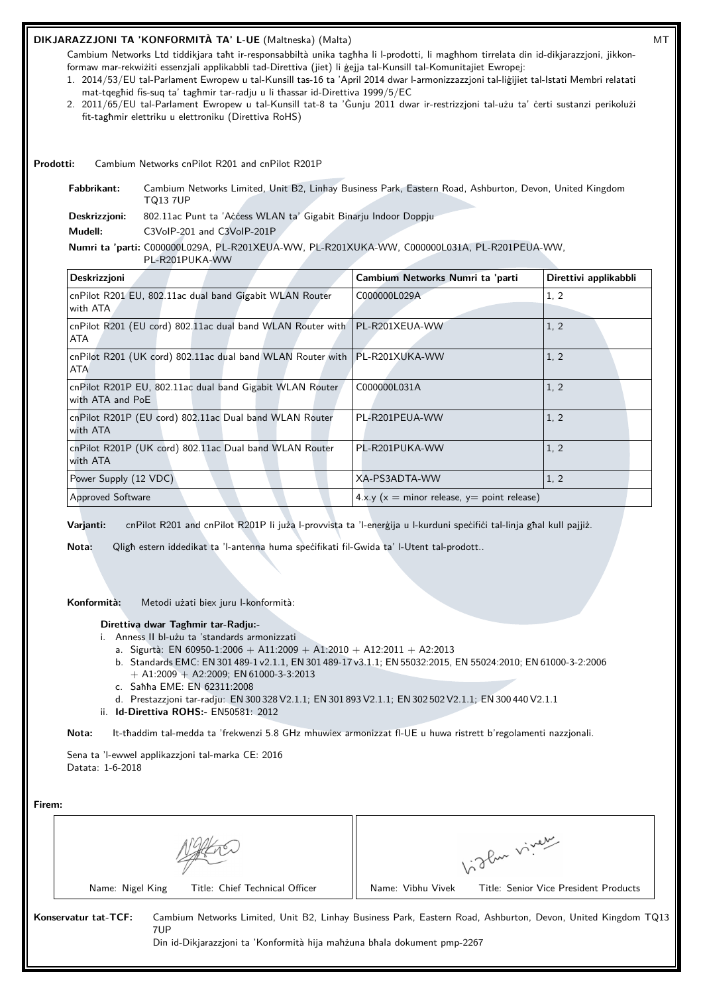# **DIKJARAZZJONI TA 'KONFORMITÀ TA' L-UE** (Maltneska) (Malta) MT

Cambium Networks Ltd tiddikjara taħt ir-responsabbiltà unika tagħha li l-prodotti, li magħhom tirrelata din id-dikjarazzjoni, jikkonformaw mar-rekwiżiti essenzjali applikabbli tad-Direttiva (jiet) li ġejja tal-Kunsill tal-Komunitajiet Ewropej:

- 1. 2014/53/EU tal-Parlament Ewropew u tal-Kunsill tas-16 ta 'April 2014 dwar l-armonizzazzjoni tal-liġijiet tal-Istati Membri relatati mat-tqegħid fis-suq ta' tagħmir tar-radju u li tħassar id-Direttiva 1999/5/EC
- 2. 2011/65/EU tal-Parlament Ewropew u tal-Kunsill tat-8 ta 'Ġunju 2011 dwar ir-restrizzjoni tal-użu ta' ċerti sustanzi perikolużi fit-tagħmir elettriku u elettroniku (Direttiva RoHS)

**Prodotti:** Cambium Networks cnPilot R201 and cnPilot R201P

**Fabbrikant:** Cambium Networks Limited, Unit B2, Linhay Business Park, Eastern Road, Ashburton, Devon, United Kingdom TQ13 7UP Deskrizzjoni: 802.11ac Punt ta 'Aċċess WLAN ta' Gigabit Binarju Indoor Doppju

**Mudell:** C3VoIP-201 and C3VoIP-201P

**Numri ta 'parti:** C000000L029A, PL-R201XEUA-WW, PL-R201XUKA-WW, C000000L031A, PL-R201PEUA-WW,

PL-R201PUKA-WW

| Deskrizzjoni                                                                              | Cambium Networks Numri ta 'parti               | Direttivi applikabbli |  |
|-------------------------------------------------------------------------------------------|------------------------------------------------|-----------------------|--|
| cnPilot R201 EU, 802.11ac dual band Gigabit WLAN Router<br>with ATA                       | C000000L029A                                   | 1, 2                  |  |
| cnPilot R201 (EU cord) 802.11ac dual band WLAN Router with   PL-R201XEUA-WW<br>ATA        |                                                | 1, 2                  |  |
| cnPilot R201 (UK cord) 802.11ac dual band WLAN Router with   PL-R201XUKA-WW<br><b>ATA</b> |                                                | 1, 2                  |  |
| cnPilot R201P EU, 802.11ac dual band Gigabit WLAN Router<br>with ATA and PoE              | C000000L031A                                   | 1, 2                  |  |
| cnPilot R201P (EU cord) 802.11ac Dual band WLAN Router<br>with ATA                        | PL-R201PEUA-WW                                 | 1, 2                  |  |
| cnPilot R201P (UK cord) 802.11ac Dual band WLAN Router<br>with ATA                        | PL-R201PUKA-WW                                 | 1, 2                  |  |
| Power Supply (12 VDC)                                                                     | XA-PS3ADTA-WW                                  | 1, 2                  |  |
| <b>Approved Software</b>                                                                  | $4.x.y (x = minor release, y = point release)$ |                       |  |

**Varjanti:** cnPilot R201 and cnPilot R201P li juża l-provvista ta 'l-enerġija u l-kurduni speċifiċi tal-linja għal kull pajjiż.

**Nota:** Qligħ estern iddedikat ta 'l-antenna huma speċifikati fil-Gwida ta' l-Utent tal-prodott..

**Konformità:** Metodi użati biex juru l-konformità:

**Direttiva dwar Tagħmir tar-Radju:-**

- i. Anness II bl-użu ta 'standards armonizzati
	- a. Sigurtà: EN 60950-1:2006 + A11:2009 + A1:2010 + A12:2011 + A2:2013
	- b. Standards EMC: EN 301 489-1 v2.1.1, EN 301 489-17 v3.1.1; EN 55032:2015, EN 55024:2010; EN 61000-3-2:2006  $+$  A1:2009  $+$  A2:2009; EN 61000-3-3:2013
	- c. Saħħa EME: EN 62311:2008
	- d. Prestazzjoni tar-radju: EN 300 328 V2.1.1; EN 301 893 V2.1.1; EN 302 502 V2.1.1; EN 300 440 V2.1.1
- ii. **Id-Direttiva ROHS:-** EN50581: 2012

**Nota:** It-tħaddim tal-medda ta 'frekwenzi 5.8 GHz mhuwiex armonizzat fl-UE u huwa ristrett b'regolamenti nazzjonali.

Sena ta 'l-ewwel applikazzjoni tal-marka CE: 2016 Datata: 1-6-2018

| Firem:                                                                                                  |                                                                                                              |
|---------------------------------------------------------------------------------------------------------|--------------------------------------------------------------------------------------------------------------|
|                                                                                                         | 1. The viver                                                                                                 |
| Title: Chief Technical Officer<br>Name: Nigel King                                                      | Name: Vibhu Vivek<br>Title: Senior Vice President Products                                                   |
| Konservatur tat-TCF:<br>7UP<br>Din id-Dikjarazzjoni ta 'Konformità hija mahzuna bhala dokument pmp-2267 | Cambium Networks Limited, Unit B2, Linhay Business Park, Eastern Road, Ashburton, Devon, United Kingdom TQ13 |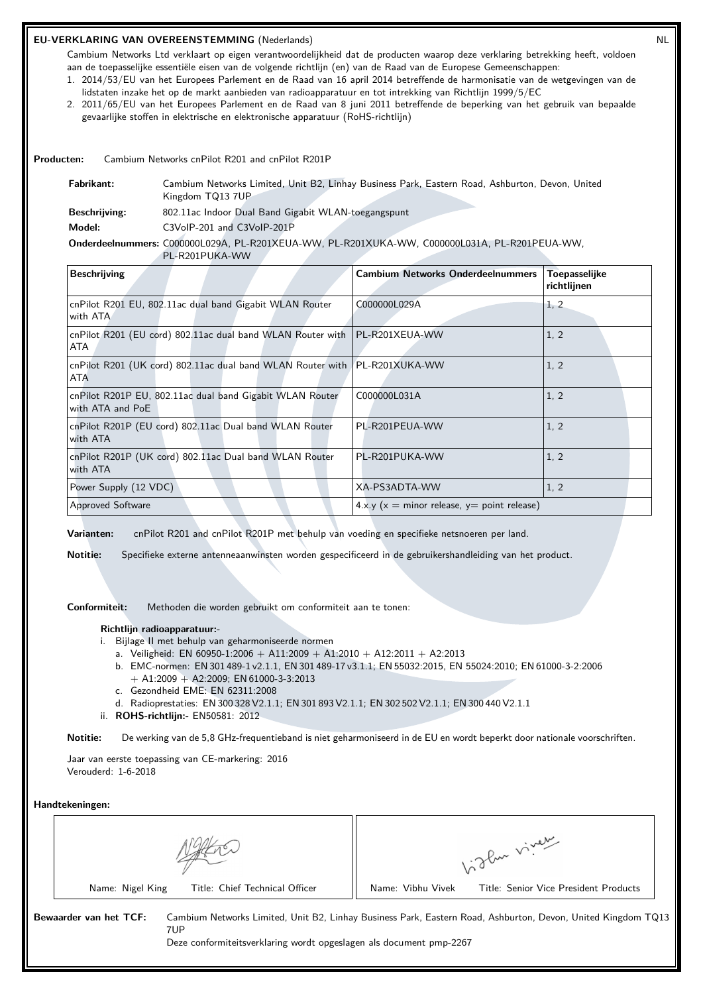# **EU-VERKLARING VAN OVEREENSTEMMING** (Nederlands) NL

Cambium Networks Ltd verklaart op eigen verantwoordelijkheid dat de producten waarop deze verklaring betrekking heeft, voldoen aan de toepasselijke essentiële eisen van de volgende richtlijn (en) van de Raad van de Europese Gemeenschappen:

- 1. 2014/53/EU van het Europees Parlement en de Raad van 16 april 2014 betreffende de harmonisatie van de wetgevingen van de lidstaten inzake het op de markt aanbieden van radioapparatuur en tot intrekking van Richtlijn 1999/5/EC
- 2. 2011/65/EU van het Europees Parlement en de Raad van 8 juni 2011 betreffende de beperking van het gebruik van bepaalde gevaarlijke stoffen in elektrische en elektronische apparatuur (RoHS-richtlijn)

**Producten:** Cambium Networks cnPilot R201 and cnPilot R201P

| Fabrikant:           | Cambium Networks Limited, Unit B2, Linhay Business Park, Eastern Road, Ashburton, Devon, United<br>Kingdom TQ13 7UP |
|----------------------|---------------------------------------------------------------------------------------------------------------------|
| <b>Beschrijving:</b> | 802.11ac Indoor Dual Band Gigabit WLAN-toegangspunt                                                                 |
| Model:               | C3VoIP-201 and C3VoIP-201P                                                                                          |

# **Onderdeelnummers:** C000000L029A, PL-R201XEUA-WW, PL-R201XUKA-WW, C000000L031A, PL-R201PEUA-WW,

PL-R201PUKA-WW

| <b>Beschrijving</b>                                                                       | <b>Cambium Networks Onderdeelnummers</b>      | Toepasselijke<br>richtlijnen |
|-------------------------------------------------------------------------------------------|-----------------------------------------------|------------------------------|
| cnPilot R201 EU, 802.11ac dual band Gigabit WLAN Router<br>with ATA                       | C000000L029A                                  | 1, 2                         |
| cnPilot R201 (EU cord) 802.11ac dual band WLAN Router with   PL-R201XEUA-WW<br><b>ATA</b> |                                               | 1, 2                         |
| cnPilot R201 (UK cord) 802.11ac dual band WLAN Router with   PL-R201XUKA-WW<br><b>ATA</b> |                                               | 1, 2                         |
| cnPilot R201P EU, 802.11ac dual band Gigabit WLAN Router<br>with ATA and PoE              | C000000L031A                                  | 1, 2                         |
| cnPilot R201P (EU cord) 802.11ac Dual band WLAN Router<br>with ATA                        | PL-R201PEUA-WW                                | 1, 2                         |
| cnPilot R201P (UK cord) 802.11ac Dual band WLAN Router<br>with ATA                        | PL-R201PUKA-WW                                | 1, 2                         |
| Power Supply (12 VDC)                                                                     | XA-PS3ADTA-WW                                 | 1, 2                         |
| <b>Approved Software</b>                                                                  | $4.x.y(x = minor release, y = point release)$ |                              |

**Varianten:** cnPilot R201 and cnPilot R201P met behulp van voeding en specifieke netsnoeren per land.

**Notitie:** Specifieke externe antenneaanwinsten worden gespecificeerd in de gebruikershandleiding van het product.

**Conformiteit:** Methoden die worden gebruikt om conformiteit aan te tonen:

### **Richtlijn radioapparatuur:-**

- i. Bijlage II met behulp van geharmoniseerde normen
	- a. Veiligheid: EN 60950-1:2006 + A11:2009 + A1:2010 + A12:2011 + A2:2013
	- b. EMC-normen: EN 301 489-1 v2.1.1, EN 301 489-17 v3.1.1; EN 55032:2015, EN 55024:2010; EN 61000-3-2:2006  $+$  A1:2009  $+$  A2:2009; EN 61000-3-3:2013
	- c. Gezondheid EME: EN 62311:2008
	- d. Radioprestaties: EN 300 328 V2.1.1; EN 301 893 V2.1.1; EN 302 502 V2.1.1; EN 300 440 V2.1.1
- ii. **ROHS-richtlijn:-** EN50581: 2012

**Notitie:** De werking van de 5,8 GHz-frequentieband is niet geharmoniseerd in de EU en wordt beperkt door nationale voorschriften.

Jaar van eerste toepassing van CE-markering: 2016 Verouderd: 1-6-2018

**Handtekeningen:**

| oflux viver                                                                                                  |
|--------------------------------------------------------------------------------------------------------------|
| Name: Vibhu Vivek<br>Title: Senior Vice President Products                                                   |
| Cambium Networks Limited, Unit B2, Linhay Business Park, Eastern Road, Ashburton, Devon, United Kingdom TQ13 |
| Deze conformiteitsverklaring wordt opgeslagen als document pmp-2267                                          |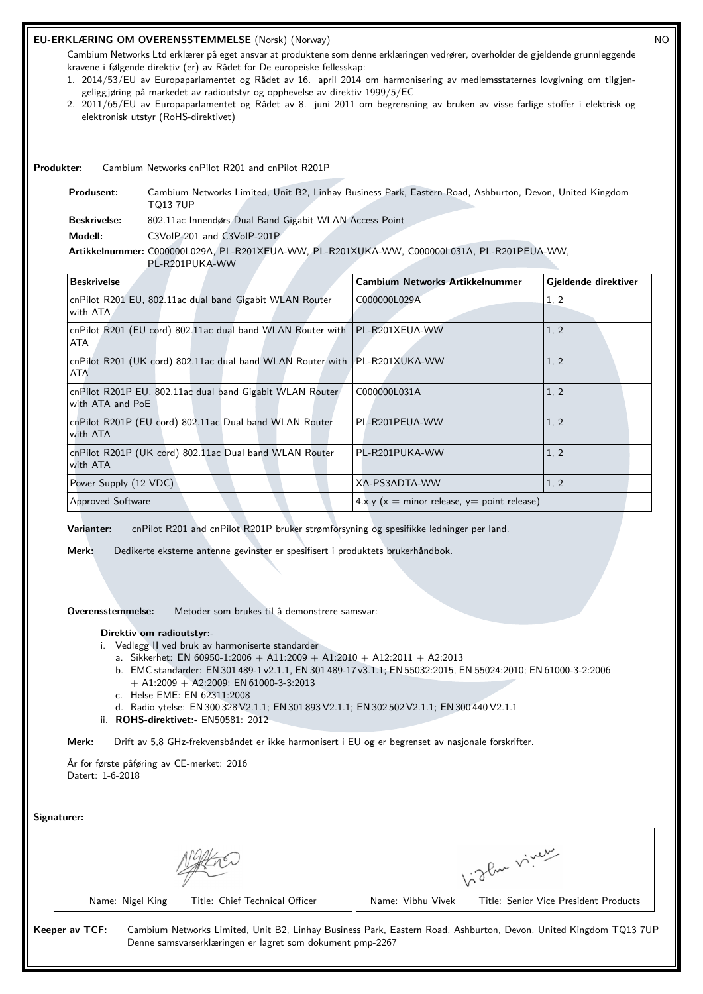## **EU-ERKLÆRING OM OVERENSSTEMMELSE** (Norsk) (Norway) NO

Cambium Networks Ltd erklærer på eget ansvar at produktene som denne erklæringen vedrører, overholder de gjeldende grunnleggende kravene i følgende direktiv (er) av Rådet for De europeiske fellesskap:

- 1. 2014/53/EU av Europaparlamentet og Rådet av 16. april 2014 om harmonisering av medlemsstaternes lovgivning om tilgjengeliggjøring på markedet av radioutstyr og opphevelse av direktiv 1999/5/EC
- 2. 2011/65/EU av Europaparlamentet og Rådet av 8. juni 2011 om begrensning av bruken av visse farlige stoffer i elektrisk og elektronisk utstyr (RoHS-direktivet)

**Produkter:** Cambium Networks cnPilot R201 and cnPilot R201P

**Produsent:** Cambium Networks Limited, Unit B2, Linhay Business Park, Eastern Road, Ashburton, Devon, United Kingdom TQ13 7UP **Beskrivelse:** 802.11ac Innendørs Dual Band Gigabit WLAN Access Point **Modell:** C3VoIP-201 and C3VoIP-201P **Artikkelnummer:** C000000L029A, PL-R201XEUA-WW, PL-R201XUKA-WW, C000000L031A, PL-R201PEUA-WW, PL-R201PUKA-WW

| <b>Beskrivelse</b>                                                                        | <b>Cambium Networks Artikkelnummer</b>        | Gjeldende direktiver |
|-------------------------------------------------------------------------------------------|-----------------------------------------------|----------------------|
| cnPilot R201 EU, 802.11ac dual band Gigabit WLAN Router<br>with ATA                       | C000000L029A                                  | 1, 2                 |
| cnPilot R201 (EU cord) 802.11ac dual band WLAN Router with   PL-R201XEUA-WW<br>ATA        |                                               | 1, 2                 |
| cnPilot R201 (UK cord) 802.11ac dual band WLAN Router with   PL-R201XUKA-WW<br><b>ATA</b> |                                               | 1, 2                 |
| cnPilot R201P EU, 802.11ac dual band Gigabit WLAN Router<br>with ATA and PoE              | C000000L031A                                  | 1, 2                 |
| cnPilot R201P (EU cord) 802.11ac Dual band WLAN Router<br>with ATA                        | PL-R201PEUA-WW                                | 1, 2                 |
| cnPilot R201P (UK cord) 802.11ac Dual band WLAN Router<br>with ATA                        | PL-R201PUKA-WW                                | 1, 2                 |
| Power Supply (12 VDC)                                                                     | XA-PS3ADTA-WW                                 | 1, 2                 |
| <b>Approved Software</b>                                                                  | $4.x.y(x = minor release, y = point release)$ |                      |

**Varianter:** cnPilot R201 and cnPilot R201P bruker strømforsyning og spesifikke ledninger per land.

**Merk:** Dedikerte eksterne antenne gevinster er spesifisert i produktets brukerhåndbok.

**Overensstemmelse:** Metoder som brukes til å demonstrere samsvar:

#### **Direktiv om radioutstyr:-**

- i. Vedlegg II ved bruk av harmoniserte standarder
	- a. Sikkerhet: EN 60950-1:2006 + A11:2009 + A1:2010 + A12:2011 + A2:2013
	- b. EMC standarder: EN 301 489-1 v2.1.1, EN 301 489-17 v3.1.1; EN 55032:2015, EN 55024:2010; EN 61000-3-2:2006  $+$  A1:2009  $+$  A2:2009; EN 61000-3-3:2013
	- c. Helse EME: EN 62311:2008
	- d. Radio ytelse: EN 300 328 V2.1.1; EN 301 893 V2.1.1; EN 302 502 V2.1.1; EN 300 440 V2.1.1
- ii. **ROHS-direktivet:-** EN50581: 2012

**Merk:** Drift av 5,8 GHz-frekvensbåndet er ikke harmonisert i EU og er begrenset av nasjonale forskrifter.

År for første påføring av CE-merket: 2016 Datert: 1-6-2018

**Signaturer:**

|                                                                             | glan viver                                                                                                       |
|-----------------------------------------------------------------------------|------------------------------------------------------------------------------------------------------------------|
| Title: Chief Technical Officer<br>Name: Nigel King                          | Name: Vibhu Vivek<br>Title: Senior Vice President Products                                                       |
| Keeper av TCF:<br>Denne samsvarserklæringen er lagret som dokument pmp-2267 | Cambium Networks Limited, Unit B2, Linhay Business Park, Eastern Road, Ashburton, Devon, United Kingdom TQ13 7UP |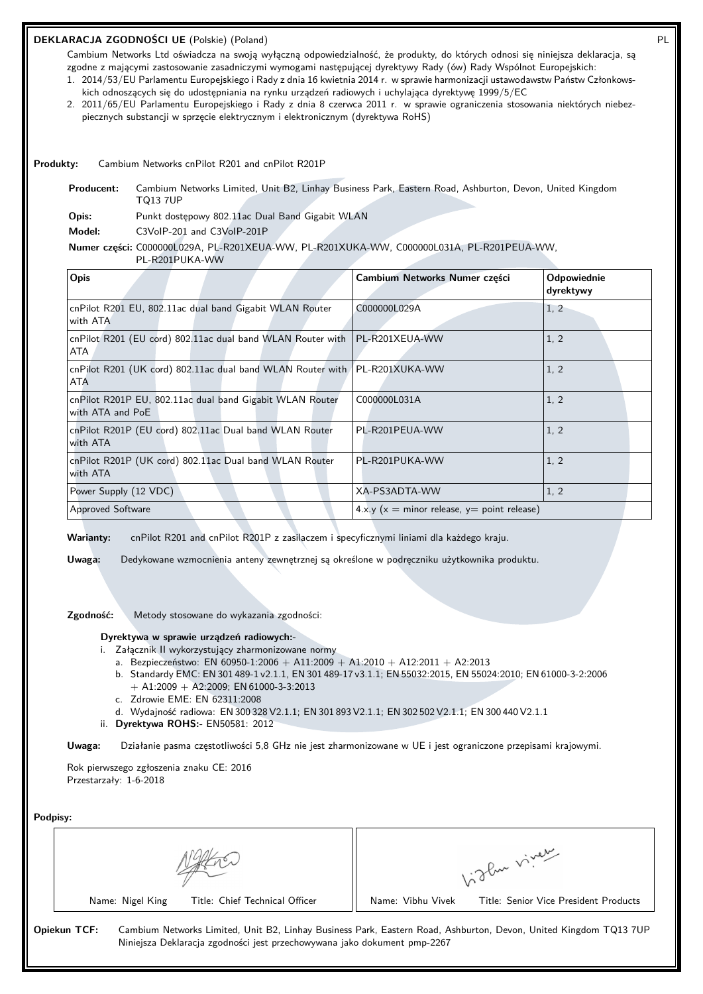# **DEKLARACJA ZGODNOŚCI UE** (Polskie) (Poland) PL

Cambium Networks Ltd oświadcza na swoją wyłączną odpowiedzialność, że produkty, do których odnosi się niniejsza deklaracja, są zgodne z mającymi zastosowanie zasadniczymi wymogami następującej dyrektywy Rady (ów) Rady Wspólnot Europejskich:

- 1. 2014/53/EU Parlamentu Europejskiego i Rady z dnia 16 kwietnia 2014 r. w sprawie harmonizacji ustawodawstw Państw Członkowskich odnoszących się do udostępniania na rynku urządzeń radiowych i uchylająca dyrektywę 1999/5/EC
- 2. 2011/65/EU Parlamentu Europejskiego i Rady z dnia 8 czerwca 2011 r. w sprawie ograniczenia stosowania niektórych niebezpiecznych substancji w sprzęcie elektrycznym i elektronicznym (dyrektywa RoHS)

#### **Produkty:** Cambium Networks cnPilot R201 and cnPilot R201P

**Producent:** Cambium Networks Limited, Unit B2, Linhay Business Park, Eastern Road, Ashburton, Devon, United Kingdom TQ13 7UP

**Opis:** Punkt dostępowy 802.11ac Dual Band Gigabit WLAN

**Model:** C3VoIP-201 and C3VoIP-201P

#### **Numer części:** C000000L029A, PL-R201XEUA-WW, PL-R201XUKA-WW, C000000L031A, PL-R201PEUA-WW,

PL-R201PUKA-WW

| Opis                                                                                    | Cambium Networks Numer części                 | <b>Odpowiednie</b><br>dyrektywy |
|-----------------------------------------------------------------------------------------|-----------------------------------------------|---------------------------------|
| cnPilot R201 EU, 802.11ac dual band Gigabit WLAN Router<br>with ATA                     | C000000L029A                                  | 1, 2                            |
| cnPilot R201 (EU cord) 802.11ac dual band WLAN Router with   PL-R201XEUA-WW<br>ATA      |                                               | 1, 2                            |
| cnPilot R201 (UK cord) 802.11ac dual band WLAN Router with PL-R201XUKA-WW<br><b>ATA</b> |                                               | 1, 2                            |
| cnPilot R201P EU, 802.11ac dual band Gigabit WLAN Router<br>with ATA and PoE            | C000000L031A                                  | 1, 2                            |
| cnPilot R201P (EU cord) 802.11ac Dual band WLAN Router<br>with ATA                      | PL-R201PEUA-WW                                | 1, 2                            |
| cnPilot R201P (UK cord) 802.11ac Dual band WLAN Router<br>with ATA                      | PL-R201PUKA-WW                                | 1, 2                            |
| Power Supply (12 VDC)                                                                   | XA-PS3ADTA-WW                                 | 1, 2                            |
| <b>Approved Software</b>                                                                | $4.x.y(x = minor release, y = point release)$ |                                 |

**Warianty:** cnPilot R201 and cnPilot R201P z zasilaczem i specyficznymi liniami dla każdego kraju.

**Uwaga:** Dedykowane wzmocnienia anteny zewnętrznej są określone w podręczniku użytkownika produktu.

# **Zgodność:** Metody stosowane do wykazania zgodności:

#### **Dyrektywa w sprawie urządzeń radiowych:-**

- i. Załącznik II wykorzystujący zharmonizowane normy
	- a. Bezpieczeństwo: EN 60950-1:2006 + A11:2009 + A1:2010 + A12:2011 + A2:2013
	- b. Standardy EMC: EN 301 489-1 v2.1.1, EN 301 489-17 v3.1.1; EN 55032:2015, EN 55024:2010; EN 61000-3-2:2006  $+$  A1:2009 + A2:2009; EN 61000-3-3:2013
	- c. Zdrowie EME: EN 62311:2008
	- d. Wydajność radiowa: EN 300 328 V2.1.1; EN 301 893 V2.1.1; EN 302 502 V2.1.1; EN 300 440 V2.1.1
- ii. **Dyrektywa ROHS:-** EN50581: 2012

**Uwaga:** Działanie pasma częstotliwości 5,8 GHz nie jest zharmonizowane w UE i jest ograniczone przepisami krajowymi.

Rok pierwszego zgłoszenia znaku CE: 2016 Przestarzały: 1-6-2018

| Podpisy: |
|----------|
|          |

|                  |                                                                          |                   | 1. The viver                                                                                                     |
|------------------|--------------------------------------------------------------------------|-------------------|------------------------------------------------------------------------------------------------------------------|
| Name: Nigel King | Title: Chief Technical Officer                                           | Name: Vibhu Vivek | Title: Senior Vice President Products                                                                            |
| Opiekun TCF:     | Niniejsza Deklaracja zgodności jest przechowywana jako dokument pmp-2267 |                   | Cambium Networks Limited, Unit B2, Linhay Business Park, Eastern Road, Ashburton, Devon, United Kingdom TQ13 7UP |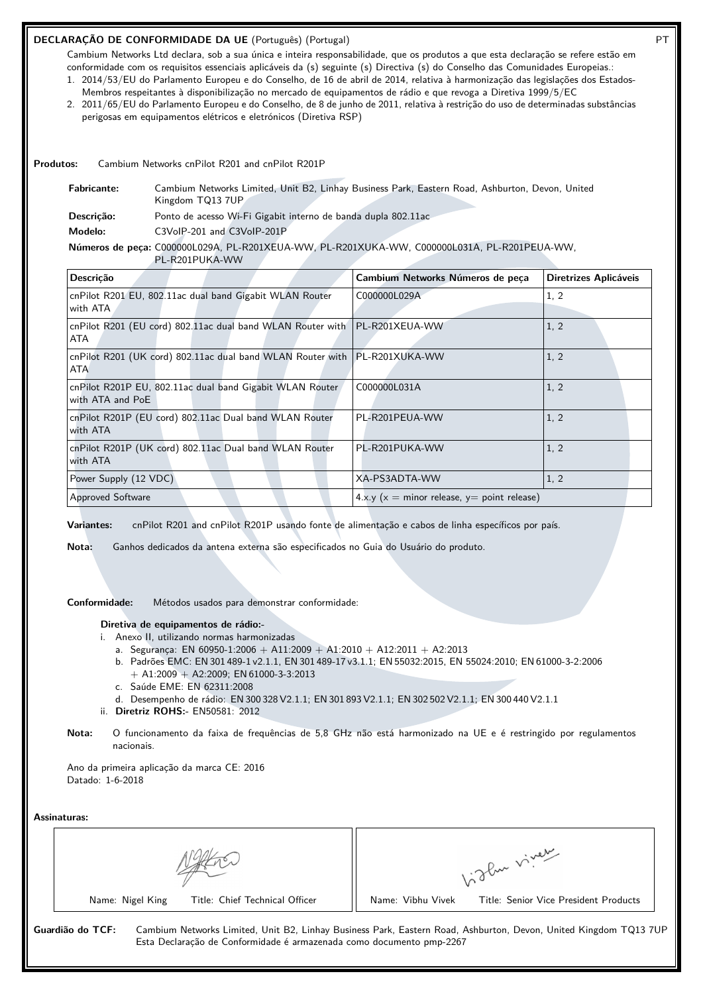# **DECLARAÇÃO DE CONFORMIDADE DA UE** (Português) (Portugal) **PT**

Cambium Networks Ltd declara, sob a sua única e inteira responsabilidade, que os produtos a que esta declaração se refere estão em conformidade com os requisitos essenciais aplicáveis da (s) seguinte (s) Directiva (s) do Conselho das Comunidades Europeias.:

1. 2014/53/EU do Parlamento Europeu e do Conselho, de 16 de abril de 2014, relativa à harmonização das legislações dos Estados-Membros respeitantes à disponibilização no mercado de equipamentos de rádio e que revoga a Diretiva 1999/5/EC

2. 2011/65/EU do Parlamento Europeu e do Conselho, de 8 de junho de 2011, relativa à restrição do uso de determinadas substâncias perigosas em equipamentos elétricos e eletrónicos (Diretiva RSP)

**Produtos:** Cambium Networks cnPilot R201 and cnPilot R201P

| <b>Fabricante:</b> | Cambium Networks Limited, Unit B2, Linhay Business Park, Eastern Road, Ashburton, Devon, United<br>Kingdom TQ13 7UP |
|--------------------|---------------------------------------------------------------------------------------------------------------------|
| Descricão:         | Ponto de acesso Wi-Fi Gigabit interno de banda dupla 802.11ac                                                       |
| Modelo:            | C3VoIP-201 and C3VoIP-201P                                                                                          |
|                    | Números de peça: C000000L029A, PL-R201XEUA-WW, PL-R201XUKA-WW, C000000L031A, PL-R201PEUA-WW,<br>PL-R201PUKA-WW      |

| Descrição                                                                                 | Cambium Networks Números de peça               | Diretrizes Aplicáveis |
|-------------------------------------------------------------------------------------------|------------------------------------------------|-----------------------|
| cnPilot R201 EU, 802.11ac dual band Gigabit WLAN Router<br>with ATA                       | C000000L029A                                   | 1, 2                  |
| cnPilot R201 (EU cord) 802.11ac dual band WLAN Router with   PL-R201XEUA-WW<br>ATA        |                                                | 1, 2                  |
| cnPilot R201 (UK cord) 802.11ac dual band WLAN Router with   PL-R201XUKA-WW<br><b>ATA</b> |                                                | 1, 2                  |
| cnPilot R201P EU, 802.11ac dual band Gigabit WLAN Router<br>with ATA and PoE              | C000000L031A                                   | 1, 2                  |
| cnPilot R201P (EU cord) 802.11ac Dual band WLAN Router<br>with ATA                        | PL-R201PEUA-WW                                 | 1, 2                  |
| cnPilot R201P (UK cord) 802.11ac Dual band WLAN Router<br>with ATA                        | PL-R201PUKA-WW                                 | 1, 2                  |
| Power Supply (12 VDC)                                                                     | XA-PS3ADTA-WW                                  | 1, 2                  |
| <b>Approved Software</b>                                                                  | $4.x.y (x = minor release, y = point release)$ |                       |

**Variantes:** cnPilot R201 and cnPilot R201P usando fonte de alimentação e cabos de linha específicos por país.

**Nota:** Ganhos dedicados da antena externa são especificados no Guia do Usuário do produto.

**Conformidade:** Métodos usados para demonstrar conformidade:

**Diretiva de equipamentos de rádio:-**

- i. Anexo II, utilizando normas harmonizadas
	- a. Segurança: EN 60950-1:2006 + A11:2009 + A1:2010 + A12:2011 + A2:2013
	- b. Padrões EMC: EN 301 489-1 v2.1.1, EN 301 489-17 v3.1.1; EN 55032:2015, EN 55024:2010; EN 61000-3-2:2006  $+$  A1:2009  $+$  A2:2009; EN 61000-3-3:2013
	- c. Saúde EME: EN 62311:2008
	- d. Desempenho de rádio: EN 300 328 V2.1.1; EN 301 893 V2.1.1; EN 302 502 V2.1.1; EN 300 440 V2.1.1
- ii. **Diretriz ROHS:-** EN50581: 2012
- **Nota:** O funcionamento da faixa de frequências de 5,8 GHz não está harmonizado na UE e é restringido por regulamentos nacionais.

Ano da primeira aplicação da marca CE: 2016 Datado: 1-6-2018

|                                                                                          | glu viver                                                                                                        |
|------------------------------------------------------------------------------------------|------------------------------------------------------------------------------------------------------------------|
| Title: Chief Technical Officer<br>Name: Nigel King                                       | Title: Senior Vice President Products<br>Name: Vibhu Vivek                                                       |
| Guardião do TCF:<br>Esta Declaração de Conformidade é armazenada como documento pmp-2267 | Cambium Networks Limited, Unit B2, Linhay Business Park, Eastern Road, Ashburton, Devon, United Kingdom TQ13 7UP |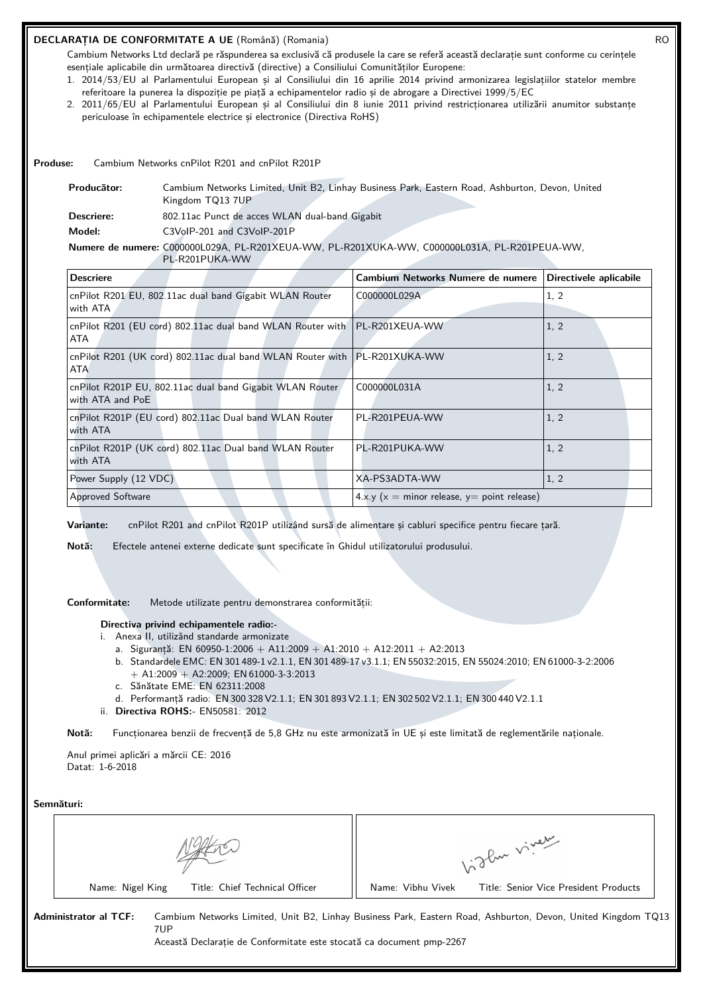# **DECLARAȚIA DE CONFORMITATE A UE** (Română) (Romania) RO

Cambium Networks Ltd declară pe răspunderea sa exclusivă că produsele la care se referă această declarație sunt conforme cu cerințele esențiale aplicabile din următoarea directivă (directive) a Consiliului Comunităților Europene:

- 1. 2014/53/EU al Parlamentului European și al Consiliului din 16 aprilie 2014 privind armonizarea legislațiilor statelor membre referitoare la punerea la dispoziție pe piață a echipamentelor radio și de abrogare a Directivei 1999/5/EC
- 2. 2011/65/EU al Parlamentului European și al Consiliului din 8 iunie 2011 privind restricționarea utilizării anumitor substanțe periculoase în echipamentele electrice și electronice (Directiva RoHS)

**Produse:** Cambium Networks cnPilot R201 and cnPilot R201P

| Producător: | Cambium Networks Limited, Unit B2, Linhay Business Park, Eastern Road, Ashburton, Devon, United |
|-------------|-------------------------------------------------------------------------------------------------|
|             | Kingdom TQ13 7UP                                                                                |
| Descriere:  | 802.11ac Punct de acces WLAN dual-band Gigabit                                                  |
| Model:      | C3VoIP-201 and C3VoIP-201P                                                                      |
|             | Numere de numere: C000000L029A, PL-R201XEUA-WW, PL-R201XUKA-WW, C000000L031A, PL-R201PEUA-WW,   |
|             | PL-R201PUKA-WW                                                                                  |

| <b>Descriere</b>                                                                   | Cambium Networks Numere de numere                   | Directivele aplicabile |
|------------------------------------------------------------------------------------|-----------------------------------------------------|------------------------|
| cnPilot R201 EU, 802.11ac dual band Gigabit WLAN Router<br>with ATA                | C000000L029A                                        | 1, 2                   |
| cnPilot R201 (EU cord) 802.11ac dual band WLAN Router with   PL-R201XEUA-WW<br>ATA |                                                     | 1, 2                   |
| cnPilot R201 (UK cord) 802.11ac dual band WLAN Router with   PL-R201XUKA-WW<br>ATA |                                                     | 1, 2                   |
| cnPilot R201P EU, 802.11ac dual band Gigabit WLAN Router<br>with ATA and PoE       | C000000L031A                                        | 1, 2                   |
| cnPilot R201P (EU cord) 802.11ac Dual band WLAN Router<br>with ATA                 | PL-R201PEUA-WW                                      | 1, 2                   |
| cnPilot R201P (UK cord) 802.11ac Dual band WLAN Router<br>with ATA                 | PL-R201PUKA-WW                                      | 1, 2                   |
| Power Supply (12 VDC)                                                              | XA-PS3ADTA-WW                                       | 1, 2                   |
| <b>Approved Software</b>                                                           | $4 \times y$ (x = minor release, y = point release) |                        |

**Variante:** cnPilot R201 and cnPilot R201P utilizând sursă de alimentare și cabluri specifice pentru fiecare țară.

**Notă:** Efectele antenei externe dedicate sunt specificate în Ghidul utilizatorului produsului.

**Conformitate:** Metode utilizate pentru demonstrarea conformității:

## **Directiva privind echipamentele radio:-**

- i. Anexa II, utilizând standarde armonizate
	- a. Siguranță: EN 60950-1:2006 + A11:2009 + A1:2010 + A12:2011 + A2:2013
	- b. Standardele EMC: EN 301 489-1 v2.1.1, EN 301 489-17 v3.1.1; EN 55032:2015, EN 55024:2010; EN 61000-3-2:2006 + A1:2009 + A2:2009; EN 61000-3-3:2013
	- c. Sănătate EME: EN 62311:2008
	- d. Performanță radio: EN 300 328 V2.1.1; EN 301 893 V2.1.1; EN 302 502 V2.1.1; EN 300 440 V2.1.1
- ii. **Directiva ROHS:-** EN50581: 2012

**Notă:** Funcționarea benzii de frecvență de 5,8 GHz nu este armonizată în UE și este limitată de reglementările naționale.

Anul primei aplicări a mărcii CE: 2016 Datat: 1-6-2018

#### **Semnături:**

|                                                                                                      | glan viver                                                                                                   |
|------------------------------------------------------------------------------------------------------|--------------------------------------------------------------------------------------------------------------|
| Title: Chief Technical Officer<br>Name: Nigel King                                                   | Title: Senior Vice President Products<br>Name: Vibhu Vivek                                                   |
| Administrator al TCF:<br>7UP<br>Această Declaratie de Conformitate este stocată ca document pmp-2267 | Cambium Networks Limited, Unit B2, Linhay Business Park, Eastern Road, Ashburton, Devon, United Kingdom TQ13 |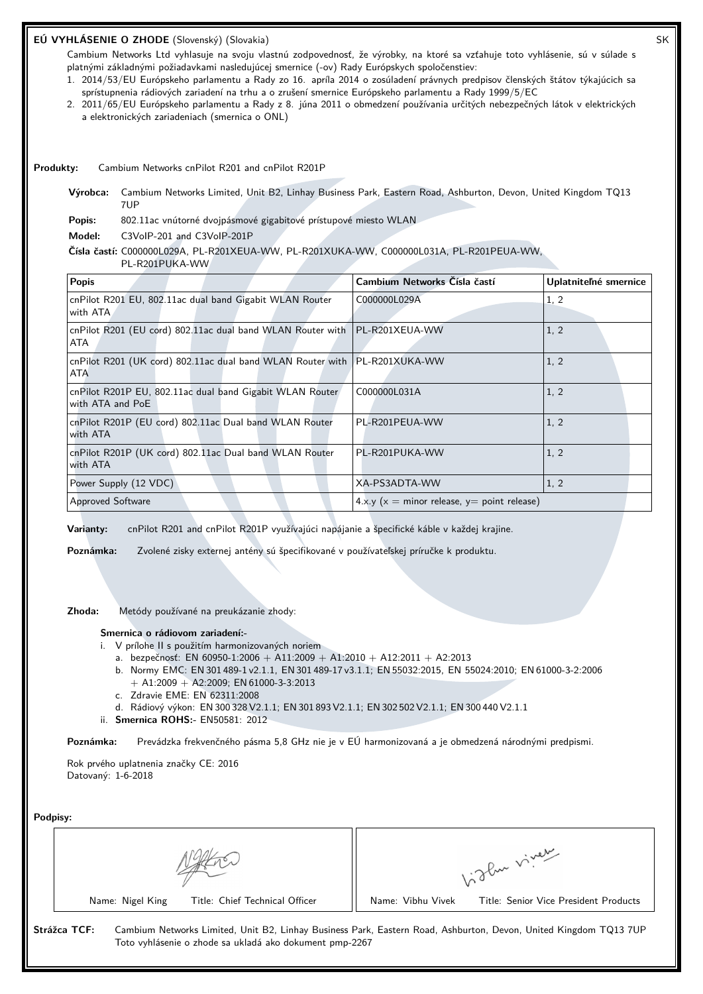# **EÚ VYHLÁSENIE O ZHODE** (Slovenský) (Slovakia) SK

Cambium Networks Ltd vyhlasuje na svoju vlastnú zodpovednosť, že výrobky, na ktoré sa vzťahuje toto vyhlásenie, sú v súlade s platnými základnými požiadavkami nasledujúcej smernice (-ov) Rady Európskych spoločenstiev:

- 1. 2014/53/EU Európskeho parlamentu a Rady zo 16. apríla 2014 o zosúladení právnych predpisov členských štátov týkajúcich sa sprístupnenia rádiových zariadení na trhu a o zrušení smernice Európskeho parlamentu a Rady 1999/5/EC
- 2. 2011/65/EU Európskeho parlamentu a Rady z 8. júna 2011 o obmedzení používania určitých nebezpečných látok v elektrických a elektronických zariadeniach (smernica o ONL)

**Produkty:** Cambium Networks cnPilot R201 and cnPilot R201P

**Výrobca:** Cambium Networks Limited, Unit B2, Linhay Business Park, Eastern Road, Ashburton, Devon, United Kingdom TQ13 7UP

Popis: 802.11ac vnútorné dvojpásmové gigabitové prístupové miesto WLAN

**Model:** C3VoIP-201 and C3VoIP-201P

**Čísla častí:** C000000L029A, PL-R201XEUA-WW, PL-R201XUKA-WW, C000000L031A, PL-R201PEUA-WW,

PL-R201PUKA-WW

| <b>Popis</b>                                                                              | Cambium Networks Čísla častí                  | Uplatniteľné smernice |
|-------------------------------------------------------------------------------------------|-----------------------------------------------|-----------------------|
| cnPilot R201 EU, 802.11ac dual band Gigabit WLAN Router<br>with ATA                       | C000000L029A                                  | 1, 2                  |
| cnPilot R201 (EU cord) 802.11ac dual band WLAN Router with   PL-R201XEUA-WW<br>ATA        |                                               | 1, 2                  |
| cnPilot R201 (UK cord) 802.11ac dual band WLAN Router with   PL-R201XUKA-WW<br><b>ATA</b> |                                               | 1, 2                  |
| cnPilot R201P EU, 802.11ac dual band Gigabit WLAN Router<br>with ATA and PoE              | C000000L031A                                  | 1, 2                  |
| cnPilot R201P (EU cord) 802.11ac Dual band WLAN Router<br>with ATA                        | PL-R201PEUA-WW                                | 1, 2                  |
| cnPilot R201P (UK cord) 802.11ac Dual band WLAN Router<br>with ATA                        | PL-R201PUKA-WW                                | 1, 2                  |
| Power Supply (12 VDC)                                                                     | XA-PS3ADTA-WW                                 | 1, 2                  |
| Approved Software                                                                         | $4.x.y(x = minor release, y = point release)$ |                       |

**Varianty:** cnPilot R201 and cnPilot R201P využívajúci napájanie a špecifické káble v každej krajine.

**Poznámka:** Zvolené zisky externej antény sú špecifikované v používateľskej príručke k produktu.

**Zhoda:** Metódy používané na preukázanie zhody:

#### **Smernica o rádiovom zariadení:-**

- i. V prílohe II s použitím harmonizovaných noriem
	- a. bezpečnosť: EN 60950-1:2006 + A11:2009 + A1:2010 + A12:2011 + A2:2013
	- b. Normy EMC: EN 301 489-1 v2.1.1, EN 301 489-17 v3.1.1; EN 55032:2015, EN 55024:2010; EN 61000-3-2:2006  $+$  A1:2009  $+$  A2:2009; EN 61000-3-3:2013
	- c. Zdravie EME: EN 62311:2008
	- d. Rádiový výkon: EN 300 328 V2.1.1; EN 301 893 V2.1.1; EN 302 502 V2.1.1; EN 300 440 V2.1.1
- ii. **Smernica ROHS:-** EN50581: 2012

**Poznámka:** Prevádzka frekvenčného pásma 5,8 GHz nie je v EÚ harmonizovaná a je obmedzená národnými predpismi.

Rok prvého uplatnenia značky CE: 2016 Datovaný: 1-6-2018

**Podpisy:**

| ı vupısy.                                                                                                                                                                                   |                                                            |
|---------------------------------------------------------------------------------------------------------------------------------------------------------------------------------------------|------------------------------------------------------------|
|                                                                                                                                                                                             | 1. Then viver                                              |
| Title: Chief Technical Officer<br>Name: Nigel King                                                                                                                                          | Name: Vibhu Vivek<br>Title: Senior Vice President Products |
| Strážca TCF:<br>Cambium Networks Limited, Unit B2, Linhay Business Park, Eastern Road, Ashburton, Devon, United Kingdom TQ13 7UP<br>Toto vyhlásenie o zhode sa ukladá ako dokument pmp-2267 |                                                            |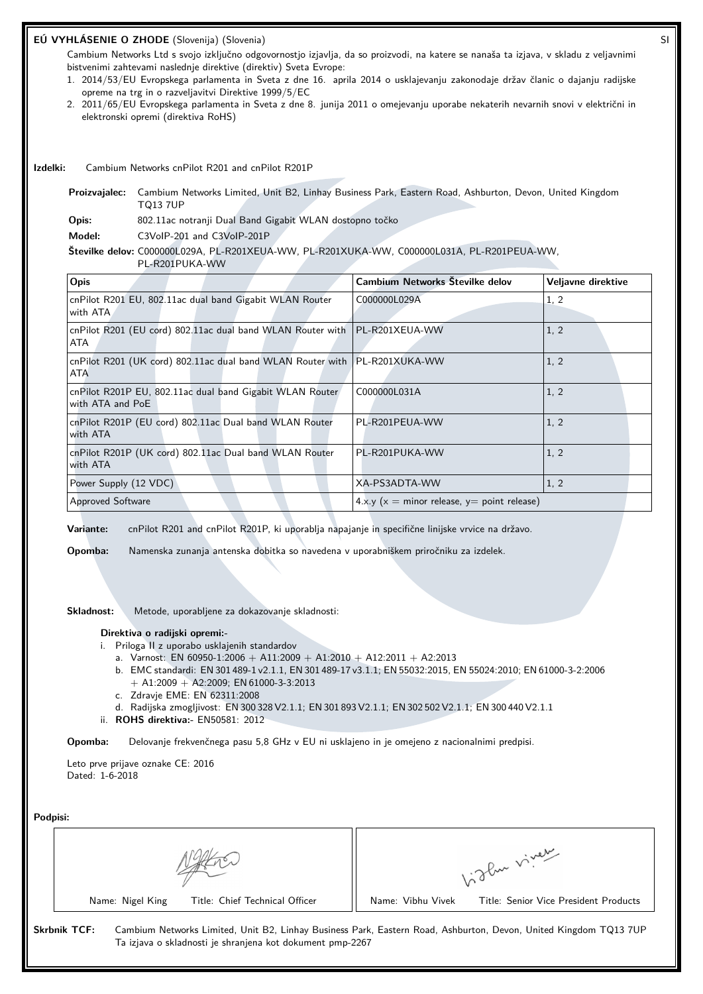# **EÚ VYHLÁSENIE O ZHODE** (Slovenija) (Slovenia) SI

Cambium Networks Ltd s svojo izključno odgovornostjo izjavlja, da so proizvodi, na katere se nanaša ta izjava, v skladu z veljavnimi bistvenimi zahtevami naslednje direktive (direktiv) Sveta Evrope:

- 1. 2014/53/EU Evropskega parlamenta in Sveta z dne 16. aprila 2014 o usklajevanju zakonodaje držav članic o dajanju radijske opreme na trg in o razveljavitvi Direktive 1999/5/EC
- 2. 2011/65/EU Evropskega parlamenta in Sveta z dne 8. junija 2011 o omejevanju uporabe nekaterih nevarnih snovi v električni in elektronski opremi (direktiva RoHS)

**Izdelki:** Cambium Networks cnPilot R201 and cnPilot R201P

**Proizvajalec:** Cambium Networks Limited, Unit B2, Linhay Business Park, Eastern Road, Ashburton, Devon, United Kingdom TQ13 7UP

**Opis:** 802.11ac notranji Dual Band Gigabit WLAN dostopno točko

**Model:** C3VoIP-201 and C3VoIP-201P

**Številke delov:** C000000L029A, PL-R201XEUA-WW, PL-R201XUKA-WW, C000000L031A, PL-R201PEUA-WW,

PL-R201PUKA-WW

| Opis                                                                                      | Cambium Networks Številke delov               | Veljavne direktive |
|-------------------------------------------------------------------------------------------|-----------------------------------------------|--------------------|
| cnPilot R201 EU, 802.11ac dual band Gigabit WLAN Router<br>with ATA                       | C000000L029A                                  | 1, 2               |
| cnPilot R201 (EU cord) 802.11ac dual band WLAN Router with   PL-R201XEUA-WW<br>ATA        |                                               | 1, 2               |
| cnPilot R201 (UK cord) 802.11ac dual band WLAN Router with   PL-R201XUKA-WW<br><b>ATA</b> |                                               | 1, 2               |
| cnPilot R201P EU, 802.11ac dual band Gigabit WLAN Router<br>with ATA and PoE              | C000000L031A                                  | 1, 2               |
| cnPilot R201P (EU cord) 802.11ac Dual band WLAN Router<br>with ATA                        | PL-R201PEUA-WW                                | 1, 2               |
| cnPilot R201P (UK cord) 802.11ac Dual band WLAN Router<br>with ATA                        | PL-R201PUKA-WW                                | 1, 2               |
| Power Supply (12 VDC)                                                                     | XA-PS3ADTA-WW                                 | 1, 2               |
| <b>Approved Software</b>                                                                  | $4.x.y(x = minor release, y = point release)$ |                    |

**Variante:** cnPilot R201 and cnPilot R201P, ki uporablja napajanje in specifične linijske vrvice na državo.

**Opomba:** Namenska zunanja antenska dobitka so navedena v uporabniškem priročniku za izdelek.

**Skladnost:** Metode, uporabljene za dokazovanje skladnosti:

#### **Direktiva o radijski opremi:-**

- i. Priloga II z uporabo usklajenih standardov
	- a. Varnost: EN 60950-1:2006 + A11:2009 + A1:2010 + A12:2011 + A2:2013
	- b. EMC standardi: EN 301 489-1 v2.1.1, EN 301 489-17 v3.1.1; EN 55032:2015, EN 55024:2010; EN 61000-3-2:2006  $+$  A1:2009  $+$  A2:2009; EN 61000-3-3:2013
	- c. Zdravje EME: EN 62311:2008
	- d. Radijska zmogljivost: EN 300 328 V2.1.1; EN 301 893 V2.1.1; EN 302 502 V2.1.1; EN 300 440 V2.1.1
- ii. **ROHS direktiva:-** EN50581: 2012

**Opomba:** Delovanje frekvenčnega pasu 5,8 GHz v EU ni usklajeno in je omejeno z nacionalnimi predpisi.

Leto prve prijave oznake CE: 2016 Dated: 1-6-2018

| Podpisi:                                                                         |                                                                                                                  |
|----------------------------------------------------------------------------------|------------------------------------------------------------------------------------------------------------------|
|                                                                                  | 1. Then viver                                                                                                    |
| Name: Nigel King<br>Title: Chief Technical Officer                               | Name: Vibhu Vivek<br>Title: Senior Vice President Products                                                       |
| <b>Skrbnik TCF:</b><br>Ta izjava o skladnosti je shranjena kot dokument pmp-2267 | Cambium Networks Limited, Unit B2, Linhay Business Park, Eastern Road, Ashburton, Devon, United Kingdom TQ13 7UP |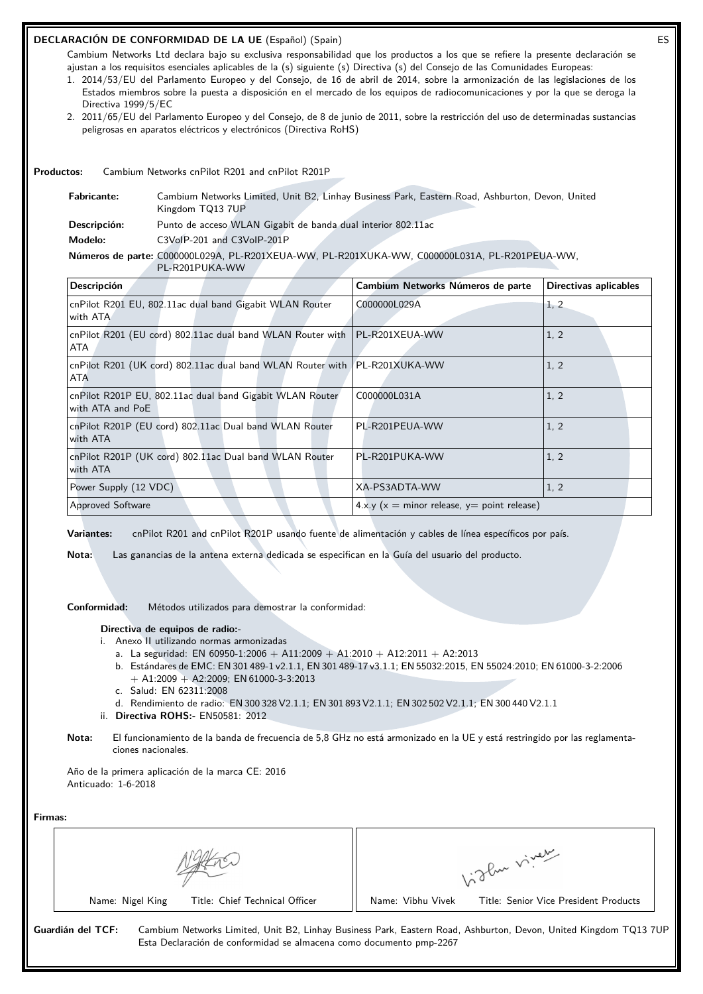# **DECLARACIÓN DE CONFORMIDAD DE LA UE** (Español) (Spain) ES

Cambium Networks Ltd declara bajo su exclusiva responsabilidad que los productos a los que se refiere la presente declaración se ajustan a los requisitos esenciales aplicables de la (s) siguiente (s) Directiva (s) del Consejo de las Comunidades Europeas:

- 1. 2014/53/EU del Parlamento Europeo y del Consejo, de 16 de abril de 2014, sobre la armonización de las legislaciones de los Estados miembros sobre la puesta a disposición en el mercado de los equipos de radiocomunicaciones y por la que se deroga la Directiva 1999/5/EC
- 2. 2011/65/EU del Parlamento Europeo y del Consejo, de 8 de junio de 2011, sobre la restricción del uso de determinadas sustancias peligrosas en aparatos eléctricos y electrónicos (Directiva RoHS)

**Productos:** Cambium Networks cnPilot R201 and cnPilot R201P

| <b>Fabricante:</b> | Cambium Networks Limited, Unit B2, Linhay Business Park, Eastern Road, Ashburton, Devon, United<br>Kingdom TQ13 7UP |
|--------------------|---------------------------------------------------------------------------------------------------------------------|
| Descripción:       | Punto de acceso WLAN Gigabit de banda dual interior 802.11ac                                                        |
| Modelo:            | C3VoIP-201 and C3VoIP-201P                                                                                          |

**Números de parte:** C000000L029A, PL-R201XEUA-WW, PL-R201XUKA-WW, C000000L031A, PL-R201PEUA-WW, PL-R201PUKA-WW

| Descripción                                                                               | Cambium Networks Números de parte                   | <b>Directivas aplicables</b> |
|-------------------------------------------------------------------------------------------|-----------------------------------------------------|------------------------------|
| cnPilot R201 EU, 802.11ac dual band Gigabit WLAN Router<br>with ATA                       | C000000L029A                                        | 1, 2                         |
| cnPilot R201 (EU cord) 802.11ac dual band WLAN Router with   PL-R201XEUA-WW<br>ATA        |                                                     | 1, 2                         |
| cnPilot R201 (UK cord) 802.11ac dual band WLAN Router with   PL-R201XUKA-WW<br><b>ATA</b> |                                                     | 1, 2                         |
| cnPilot R201P EU, 802.11ac dual band Gigabit WLAN Router<br>with ATA and PoE              | C000000L031A                                        | 1, 2                         |
| cnPilot R201P (EU cord) 802.11ac Dual band WLAN Router<br>with ATA                        | PL-R201PEUA-WW                                      | 1, 2                         |
| cnPilot R201P (UK cord) 802.11ac Dual band WLAN Router<br>with ATA                        | PL-R201PUKA-WW                                      | 1, 2                         |
| Power Supply (12 VDC)                                                                     | XA-PS3ADTA-WW                                       | 1, 2                         |
| <b>Approved Software</b>                                                                  | $4 \times y$ (x = minor release, y = point release) |                              |

**Variantes:** cnPilot R201 and cnPilot R201P usando fuente de alimentación y cables de línea específicos por país.

**Nota:** Las ganancias de la antena externa dedicada se especifican en la Guía del usuario del producto.

**Conformidad:** Métodos utilizados para demostrar la conformidad:

#### **Directiva de equipos de radio:-**

- i. Anexo II utilizando normas armonizadas
	- a. La seguridad: EN 60950-1:2006 + A11:2009 + A1:2010 + A12:2011 + A2:2013
	- b. Estándares de EMC: EN 301 489-1 v2.1.1, EN 301 489-17 v3.1.1; EN 55032:2015, EN 55024:2010; EN 61000-3-2:2006  $+$  A1:2009  $+$  A2:2009; EN 61000-3-3:2013
	- c. Salud: EN 62311:2008
	- d. Rendimiento de radio: EN 300 328 V2.1.1; EN 301 893 V2.1.1; EN 302 502 V2.1.1; EN 300 440 V2.1.1
- ii. **Directiva ROHS:-** EN50581: 2012
- **Nota:** El funcionamiento de la banda de frecuencia de 5,8 GHz no está armonizado en la UE y está restringido por las reglamentaciones nacionales.

Año de la primera aplicación de la marca CE: 2016 Anticuado: 1-6-2018

|                                | oflue viver                           |
|--------------------------------|---------------------------------------|
| Name: Nigel King               | Name: Vibhu Vivek                     |
| Title: Chief Technical Officer | Title: Senior Vice President Products |